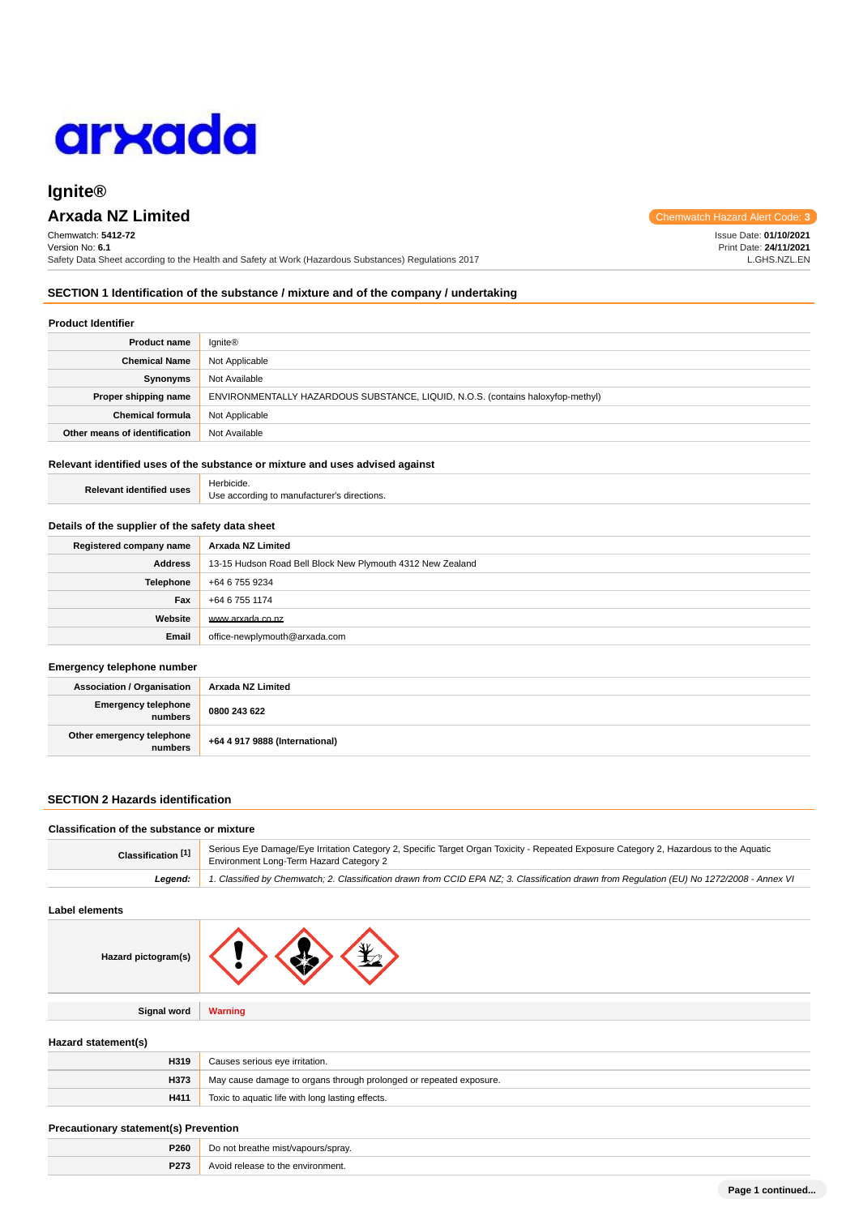

# **Ignite®**

# **Arxada NZ Limited** Chemwatch Hazard Alert Code: 3

Chemwatch: **5412-72** Version No: **6.1** Safety Data Sheet according to the Health and Safety at Work (Hazardous Substances) Regulations 2017

**SECTION 1 Identification of the substance / mixture and of the company / undertaking**

### **Product Identifier**

| <b>Product name</b>           | <b>Ignite®</b>                                                                  |
|-------------------------------|---------------------------------------------------------------------------------|
| <b>Chemical Name</b>          | Not Applicable                                                                  |
| Synonyms                      | Not Available                                                                   |
| Proper shipping name          | ENVIRONMENTALLY HAZARDOUS SUBSTANCE, LIQUID, N.O.S. (contains haloxyfop-methyl) |
| <b>Chemical formula</b>       | Not Applicable                                                                  |
| Other means of identification | Not Available                                                                   |

# **Relevant identified uses of the substance or mixture and uses advised against**

|                                 | Herbicide.                                  |
|---------------------------------|---------------------------------------------|
| <b>Relevant identified uses</b> | Use according to manufacturer's directions. |

#### **Details of the supplier of the safety data sheet**

| Registered company name | Arxada NZ Limited                                          |  |
|-------------------------|------------------------------------------------------------|--|
| Address                 | 13-15 Hudson Road Bell Block New Plymouth 4312 New Zealand |  |
| <b>Telephone</b>        | +64 6 755 9234                                             |  |
| Fax                     | +64 6 755 1174                                             |  |
| Website                 | www.arxada.co.nz                                           |  |
| Email                   | office-newplymouth@arxada.com                              |  |

#### **Emergency telephone number**

| <b>Association / Organisation</b>    | Arxada NZ Limited              |
|--------------------------------------|--------------------------------|
| Emergency telephone<br>numbers       | 0800 243 622                   |
| Other emergency telephone<br>numbers | +64 4 917 9888 (International) |

# **SECTION 2 Hazards identification**

#### **Classification of the substance or mixture**

| Classification <sup>[1]</sup> | Serious Eye Damage/Eye Irritation Category 2, Specific Target Organ Toxicity - Repeated Exposure Category 2, Hazardous to the Aquatic<br>Environment Long-Term Hazard Category 2 |  |
|-------------------------------|----------------------------------------------------------------------------------------------------------------------------------------------------------------------------------|--|
| Leaend:                       | 1. Classified by Chemwatch; 2. Classification drawn from CCID EPA NZ; 3. Classification drawn from Requlation (EU) No 1272/2008 - Annex VI                                       |  |

# **Label elements**

| Hazard pictogram(s) | ЖŁ             |
|---------------------|----------------|
|                     |                |
| <b>Signal word</b>  | <b>Warning</b> |

### **Hazard statement(s)**

| H319 | Causes serious eye irritation.                                     |  |
|------|--------------------------------------------------------------------|--|
| H373 | May cause damage to organs through prolonged or repeated exposure. |  |
| H411 | Toxic to aquatic life with long lasting effects.                   |  |

#### **Precautionary statement(s) Prevention**

| P260 | Do not<br>* breathe mist/vapours/sprav. |
|------|-----------------------------------------|
| P273 | the environment.<br>Avoid release to    |

Issue Date: **01/10/2021** Print Date: **24/11/2021** L.GHS.NZL.EN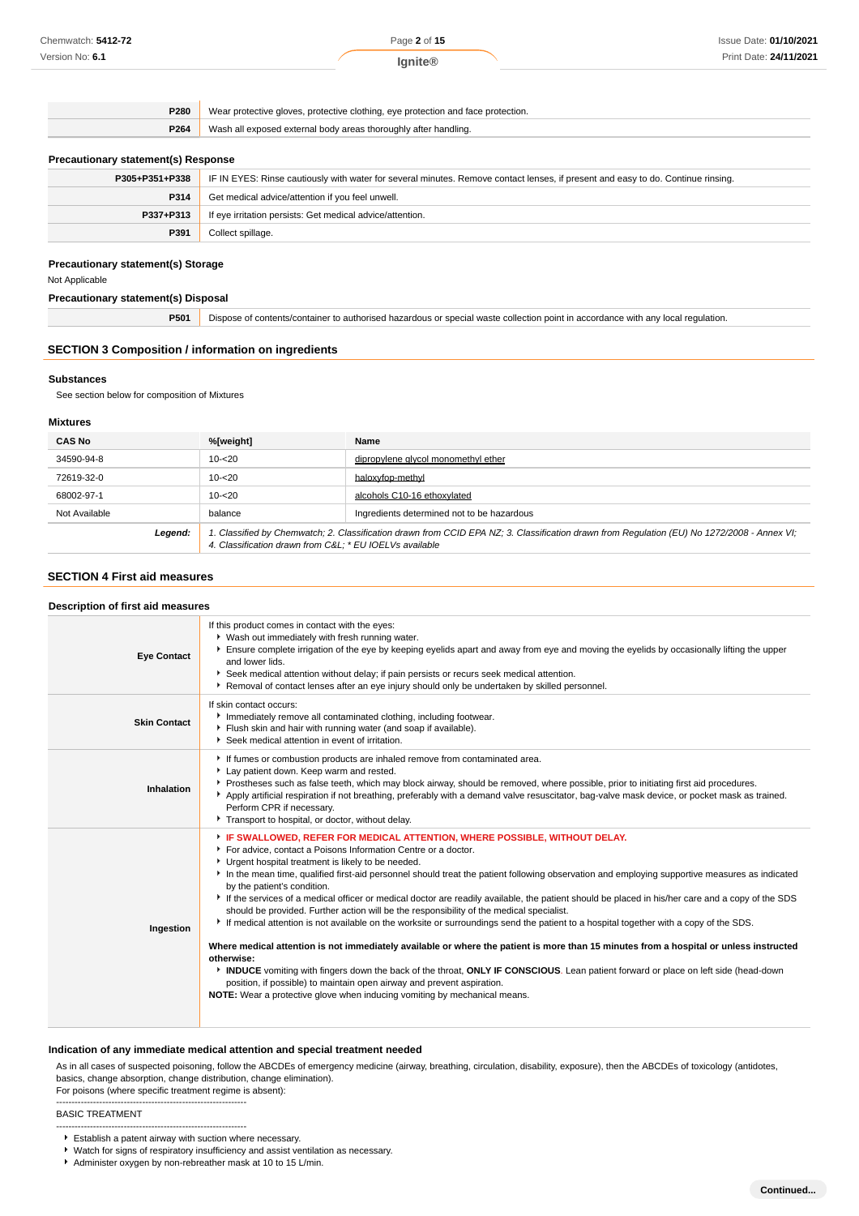**Ignite®**

**P280** Wear protective gloves, protective clothing, eye protection and face protection. **P264** Wash all exposed external body areas thoroughly after handling. **Precautionary statement(s) Response P305+P351+P338** IF IN EYES: Rinse cautiously with water for several minutes. Remove contact lenses, if present and easy to do. Continue rinsing. **P314** Get medical advice/attention if you feel unwell. **P337+P313** If eye irritation persists: Get medical advice/attention. **P391** Collect spillage.

# **Precautionary statement(s) Storage**

Not Applicable

# **Precautionary statement(s) Disposal**

**P501** Dispose of contents/container to authorised hazardous or special waste collection point in accordance with any local regulation.

### **SECTION 3 Composition / information on ingredients**

#### **Substances**

See section below for composition of Mixtures

### **Mixtures**

| <b>CAS No</b> | %[weight]                                                                                                                                                                                             | Name                                       |
|---------------|-------------------------------------------------------------------------------------------------------------------------------------------------------------------------------------------------------|--------------------------------------------|
| 34590-94-8    | $10 - 20$                                                                                                                                                                                             | dipropylene glycol monomethyl ether        |
| 72619-32-0    | $10 - 20$                                                                                                                                                                                             | haloxyfop-methyl                           |
| 68002-97-1    | $10 - 20$                                                                                                                                                                                             | alcohols C10-16 ethoxylated                |
| Not Available | balance                                                                                                                                                                                               | Ingredients determined not to be hazardous |
| Legend:       | 1. Classified by Chemwatch; 2. Classification drawn from CCID EPA NZ; 3. Classification drawn from Requlation (EU) No 1272/2008 - Annex VI;<br>4. Classification drawn from C&L * EU IOELVs available |                                            |

# **SECTION 4 First aid measures**

| Description of first aid measures |                                                                                                                                                                                                                                                                                                                                                                                                                                                                                                                                                                                                                                                                                                                                                                                                                                                                                                                                                                                                                                                                                                                                                                                                                                |  |
|-----------------------------------|--------------------------------------------------------------------------------------------------------------------------------------------------------------------------------------------------------------------------------------------------------------------------------------------------------------------------------------------------------------------------------------------------------------------------------------------------------------------------------------------------------------------------------------------------------------------------------------------------------------------------------------------------------------------------------------------------------------------------------------------------------------------------------------------------------------------------------------------------------------------------------------------------------------------------------------------------------------------------------------------------------------------------------------------------------------------------------------------------------------------------------------------------------------------------------------------------------------------------------|--|
| <b>Eye Contact</b>                | If this product comes in contact with the eyes:<br>▶ Wash out immediately with fresh running water.<br>Ensure complete irrigation of the eye by keeping eyelids apart and away from eye and moving the eyelids by occasionally lifting the upper<br>and lower lids.<br>▶ Seek medical attention without delay; if pain persists or recurs seek medical attention.<br>▶ Removal of contact lenses after an eye injury should only be undertaken by skilled personnel.                                                                                                                                                                                                                                                                                                                                                                                                                                                                                                                                                                                                                                                                                                                                                           |  |
| <b>Skin Contact</b>               | If skin contact occurs:<br>Immediately remove all contaminated clothing, including footwear.<br>Flush skin and hair with running water (and soap if available).<br>Seek medical attention in event of irritation.                                                                                                                                                                                                                                                                                                                                                                                                                                                                                                                                                                                                                                                                                                                                                                                                                                                                                                                                                                                                              |  |
| Inhalation                        | If fumes or combustion products are inhaled remove from contaminated area.<br>Lay patient down. Keep warm and rested.<br>Prostheses such as false teeth, which may block airway, should be removed, where possible, prior to initiating first aid procedures.<br>Apply artificial respiration if not breathing, preferably with a demand valve resuscitator, bag-valve mask device, or pocket mask as trained.<br>Perform CPR if necessary.<br>Transport to hospital, or doctor, without delay.                                                                                                                                                                                                                                                                                                                                                                                                                                                                                                                                                                                                                                                                                                                                |  |
| Ingestion                         | FIF SWALLOWED, REFER FOR MEDICAL ATTENTION, WHERE POSSIBLE, WITHOUT DELAY.<br>For advice, contact a Poisons Information Centre or a doctor.<br>Urgent hospital treatment is likely to be needed.<br>In the mean time, qualified first-aid personnel should treat the patient following observation and employing supportive measures as indicated<br>by the patient's condition.<br>If the services of a medical officer or medical doctor are readily available, the patient should be placed in his/her care and a copy of the SDS<br>should be provided. Further action will be the responsibility of the medical specialist.<br>If medical attention is not available on the worksite or surroundings send the patient to a hospital together with a copy of the SDS.<br>Where medical attention is not immediately available or where the patient is more than 15 minutes from a hospital or unless instructed<br>otherwise:<br>INDUCE vomiting with fingers down the back of the throat, ONLY IF CONSCIOUS. Lean patient forward or place on left side (head-down<br>position, if possible) to maintain open airway and prevent aspiration.<br>NOTE: Wear a protective glove when inducing vomiting by mechanical means. |  |

### **Indication of any immediate medical attention and special treatment needed**

As in all cases of suspected poisoning, follow the ABCDEs of emergency medicine (airway, breathing, circulation, disability, exposure), then the ABCDEs of toxicology (antidotes, basics, change absorption, change distribution, change elimination).

#### For poisons (where specific treatment regime is absent): --------------------------------------------------------------

BASIC TREATMENT

- -------------------------------------------------------------- Establish a patent airway with suction where necessary.
- Watch for signs of respiratory insufficiency and assist ventilation as necessary.
- Administer oxygen by non-rebreather mask at 10 to 15 L/min.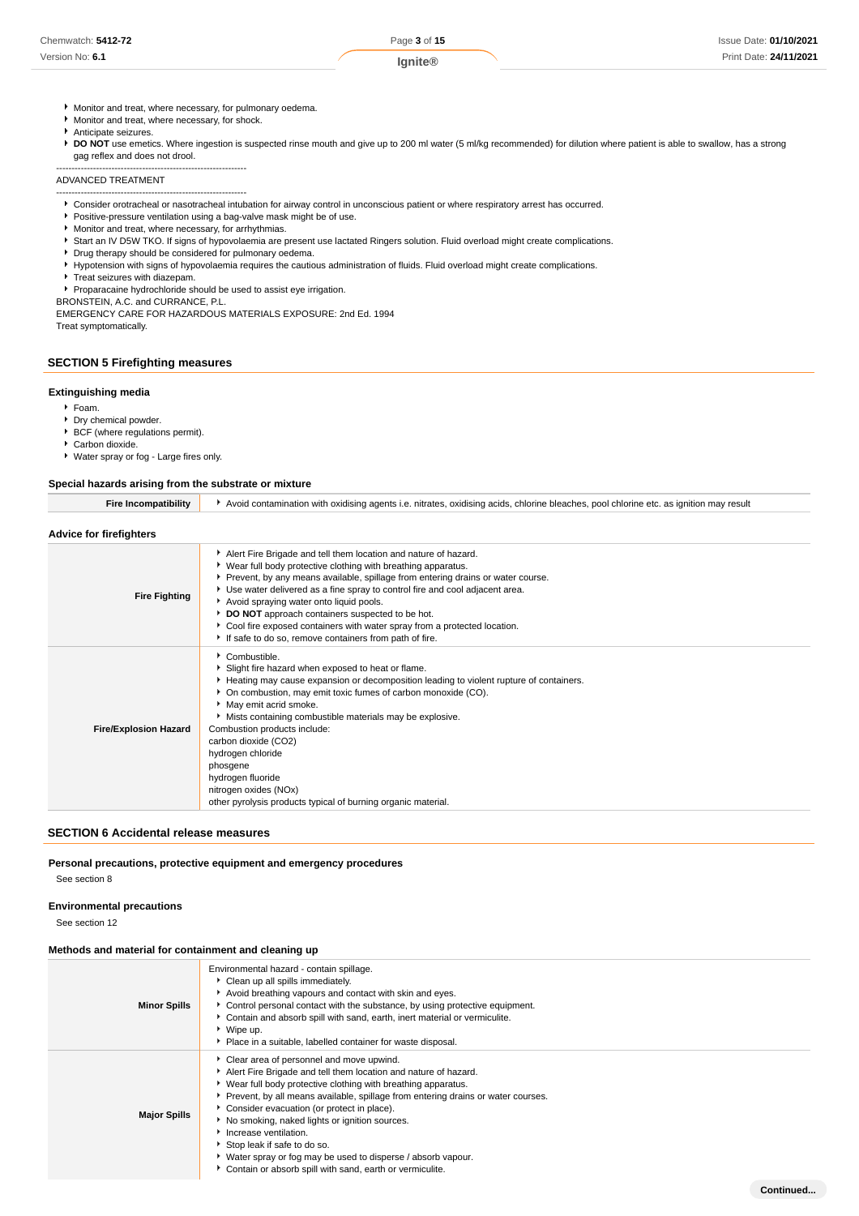**Continued...**

- Monitor and treat, where necessary, for pulmonary oedema.
- Monitor and treat, where necessary, for shock.
- Anticipate seizures.

**P DO NOT** use emetics. Where ingestion is suspected rinse mouth and give up to 200 ml water (5 ml/kg recommended) for dilution where patient is able to swallow, has a strong gag reflex and does not drool.

#### -------------------------------------------------------------- ADVANCED TREATMENT

-------------------------------------------------------------- Consider orotracheal or nasotracheal intubation for airway control in unconscious patient or where respiratory arrest has occurred.

- Positive-pressure ventilation using a bag-valve mask might be of use.
- Monitor and treat, where necessary, for arrhythmias.
- ▶ Start an IV D5W TKO. If signs of hypovolaemia are present use lactated Ringers solution. Fluid overload might create complications.
- **P** Drug therapy should be considered for pulmonary oedema.
- Hypotension with signs of hypovolaemia requires the cautious administration of fluids. Fluid overload might create complications.
- **F** Treat seizures with diazepam.
- Proparacaine hydrochloride should be used to assist eye irrigation.

BRONSTEIN, A.C. and CURRANCE, P.L.

EMERGENCY CARE FOR HAZARDOUS MATERIALS EXPOSURE: 2nd Ed. 1994

Treat symptomatically.

### **SECTION 5 Firefighting measures**

#### **Extinguishing media**

- $F$ Foam.
- **Dry chemical powder.**
- **BCF** (where regulations permit).
- Carbon dioxide.
- Water spray or fog Large fires only.

#### **Special hazards arising from the substrate or mixture**

| Avoid contamination with oxidising agents i.e. nitrates, oxidising acids, chlorine bleaches, pool chlorine etc. as ignition may $\iota$ . |
|-------------------------------------------------------------------------------------------------------------------------------------------|
|                                                                                                                                           |

#### **Advice for firefighters**

| <b>Fire Fighting</b>         | Alert Fire Brigade and tell them location and nature of hazard.<br>▶ Wear full body protective clothing with breathing apparatus.<br>▶ Prevent, by any means available, spillage from entering drains or water course.<br>▶ Use water delivered as a fine spray to control fire and cool adjacent area.<br>Avoid spraying water onto liquid pools.<br>DO NOT approach containers suspected to be hot.<br>• Cool fire exposed containers with water spray from a protected location.<br>If safe to do so, remove containers from path of fire. |
|------------------------------|-----------------------------------------------------------------------------------------------------------------------------------------------------------------------------------------------------------------------------------------------------------------------------------------------------------------------------------------------------------------------------------------------------------------------------------------------------------------------------------------------------------------------------------------------|
| <b>Fire/Explosion Hazard</b> | Combustible.<br>Slight fire hazard when exposed to heat or flame.<br>Heating may cause expansion or decomposition leading to violent rupture of containers.<br>• On combustion, may emit toxic fumes of carbon monoxide (CO).<br>• May emit acrid smoke.<br>Mists containing combustible materials may be explosive.<br>Combustion products include:<br>carbon dioxide (CO2)<br>hydrogen chloride<br>phosgene<br>hydrogen fluoride<br>nitrogen oxides (NOx)<br>other pyrolysis products typical of burning organic material.                  |

# **SECTION 6 Accidental release measures**

# **Personal precautions, protective equipment and emergency procedures**

See section 8

# **Environmental precautions**

See section 12

### **Methods and material for containment and cleaning up**

| <b>Minor Spills</b> | Environmental hazard - contain spillage.<br>Clean up all spills immediately.<br>Avoid breathing vapours and contact with skin and eyes.<br>► Control personal contact with the substance, by using protective equipment.<br>Contain and absorb spill with sand, earth, inert material or vermiculite.<br>Wipe up.<br>• Place in a suitable, labelled container for waste disposal.                                                                                                                                                                      |
|---------------------|---------------------------------------------------------------------------------------------------------------------------------------------------------------------------------------------------------------------------------------------------------------------------------------------------------------------------------------------------------------------------------------------------------------------------------------------------------------------------------------------------------------------------------------------------------|
| <b>Major Spills</b> | Clear area of personnel and move upwind.<br>Alert Fire Brigade and tell them location and nature of hazard.<br>▶ Wear full body protective clothing with breathing apparatus.<br>▶ Prevent, by all means available, spillage from entering drains or water courses.<br>Consider evacuation (or protect in place).<br>No smoking, naked lights or ignition sources.<br>Increase ventilation.<br>Stop leak if safe to do so.<br>▶ Water spray or fog may be used to disperse / absorb vapour.<br>Contain or absorb spill with sand, earth or vermiculite. |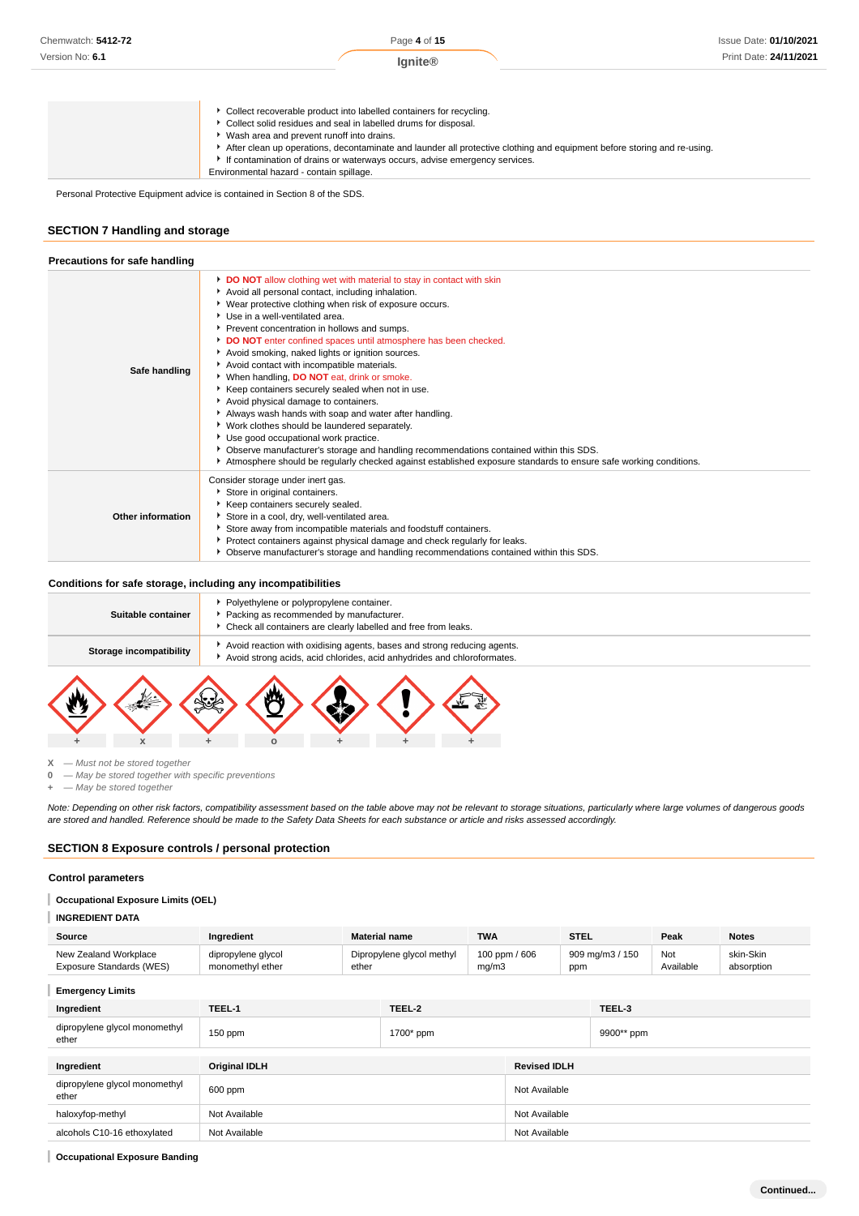|  | Collect recoverable product into labelled containers for recycling. |
|--|---------------------------------------------------------------------|
|--|---------------------------------------------------------------------|

Collect solid residues and seal in labelled drums for disposal.

- Wash area and prevent runoff into drains.
- After clean up operations, decontaminate and launder all protective clothing and equipment before storing and re-using.
- If contamination of drains or waterways occurs, advise emergency services. Environmental hazard - contain spillage.

Personal Protective Equipment advice is contained in Section 8 of the SDS.

# **SECTION 7 Handling and storage**

| Precautions for safe handling |                                                                                                                                                                                                                                                                                                                                                                                                                                                                                                                                                                                                                                                                                                                                                                                                                                                                                                                                                            |
|-------------------------------|------------------------------------------------------------------------------------------------------------------------------------------------------------------------------------------------------------------------------------------------------------------------------------------------------------------------------------------------------------------------------------------------------------------------------------------------------------------------------------------------------------------------------------------------------------------------------------------------------------------------------------------------------------------------------------------------------------------------------------------------------------------------------------------------------------------------------------------------------------------------------------------------------------------------------------------------------------|
| Safe handling                 | DO NOT allow clothing wet with material to stay in contact with skin<br>Avoid all personal contact, including inhalation.<br>▶ Wear protective clothing when risk of exposure occurs.<br>▶ Use in a well-ventilated area.<br>Prevent concentration in hollows and sumps.<br>DO NOT enter confined spaces until atmosphere has been checked.<br>Avoid smoking, naked lights or ignition sources.<br>Avoid contact with incompatible materials.<br>When handling, DO NOT eat, drink or smoke.<br>Keep containers securely sealed when not in use.<br>Avoid physical damage to containers.<br>Always wash hands with soap and water after handling.<br>▶ Work clothes should be laundered separately.<br>Use good occupational work practice.<br>▶ Observe manufacturer's storage and handling recommendations contained within this SDS.<br>Atmosphere should be regularly checked against established exposure standards to ensure safe working conditions. |
| Other information             | Consider storage under inert gas.<br>Store in original containers.<br>Keep containers securely sealed.<br>Store in a cool, dry, well-ventilated area.<br>Store away from incompatible materials and foodstuff containers.<br>Protect containers against physical damage and check regularly for leaks.<br>• Observe manufacturer's storage and handling recommendations contained within this SDS.                                                                                                                                                                                                                                                                                                                                                                                                                                                                                                                                                         |

#### **Conditions for safe storage, including any incompatibilities**

| Suitable container      | Polyethylene or polypropylene container.<br>Packing as recommended by manufacturer.<br>Check all containers are clearly labelled and free from leaks. |  |
|-------------------------|-------------------------------------------------------------------------------------------------------------------------------------------------------|--|
| Storage incompatibility | Avoid reaction with oxidising agents, bases and strong reducing agents.<br>Avoid strong acids, acid chlorides, acid anhydrides and chloroformates.    |  |
|                         |                                                                                                                                                       |  |



**X** — Must not be stored together

**0** — May be stored together with specific preventions

**+** — May be stored together

Note: Depending on other risk factors, compatibility assessment based on the table above may not be relevant to storage situations, particularly where large volumes of dangerous goods are stored and handled. Reference should be made to the Safety Data Sheets for each substance or article and risks assessed accordingly.

### **SECTION 8 Exposure controls / personal protection**

#### **Control parameters**

#### T **Occupational Exposure Limits (OEL)**

#### **INGREDIENT DATA**

| Source                   | Ingredient         | <b>Material name</b>      | <b>TWA</b>    | <b>STEL</b>     | Peak      | <b>Notes</b> |
|--------------------------|--------------------|---------------------------|---------------|-----------------|-----------|--------------|
| New Zealand Workplace    | dipropylene glycol | Dipropylene glycol methyl | 100 ppm / 606 | 909 mg/m3 / 150 | Not       | skin-Skin    |
| Exposure Standards (WES) | monomethyl ether   | ether                     | mq/m3         | ppm             | Available | absorption   |

**Emergency Limits**

| Ingredient                             | TEEL-1               | TEEL-2      |                     | TEEL-3     |  |
|----------------------------------------|----------------------|-------------|---------------------|------------|--|
| dipropylene glycol monomethyl<br>ether | $150$ ppm            | $1700*$ ppm |                     | 9900** ppm |  |
|                                        |                      |             |                     |            |  |
| Ingredient                             | <b>Original IDLH</b> |             | <b>Revised IDLH</b> |            |  |
| dipropylene glycol monomethyl<br>ether | 600 ppm              |             | Not Available       |            |  |
| haloxyfop-methyl                       | Not Available        |             | Not Available       |            |  |
| alcohols C10-16 ethoxylated            | Not Available        |             | Not Available       |            |  |

**Occupational Exposure Banding**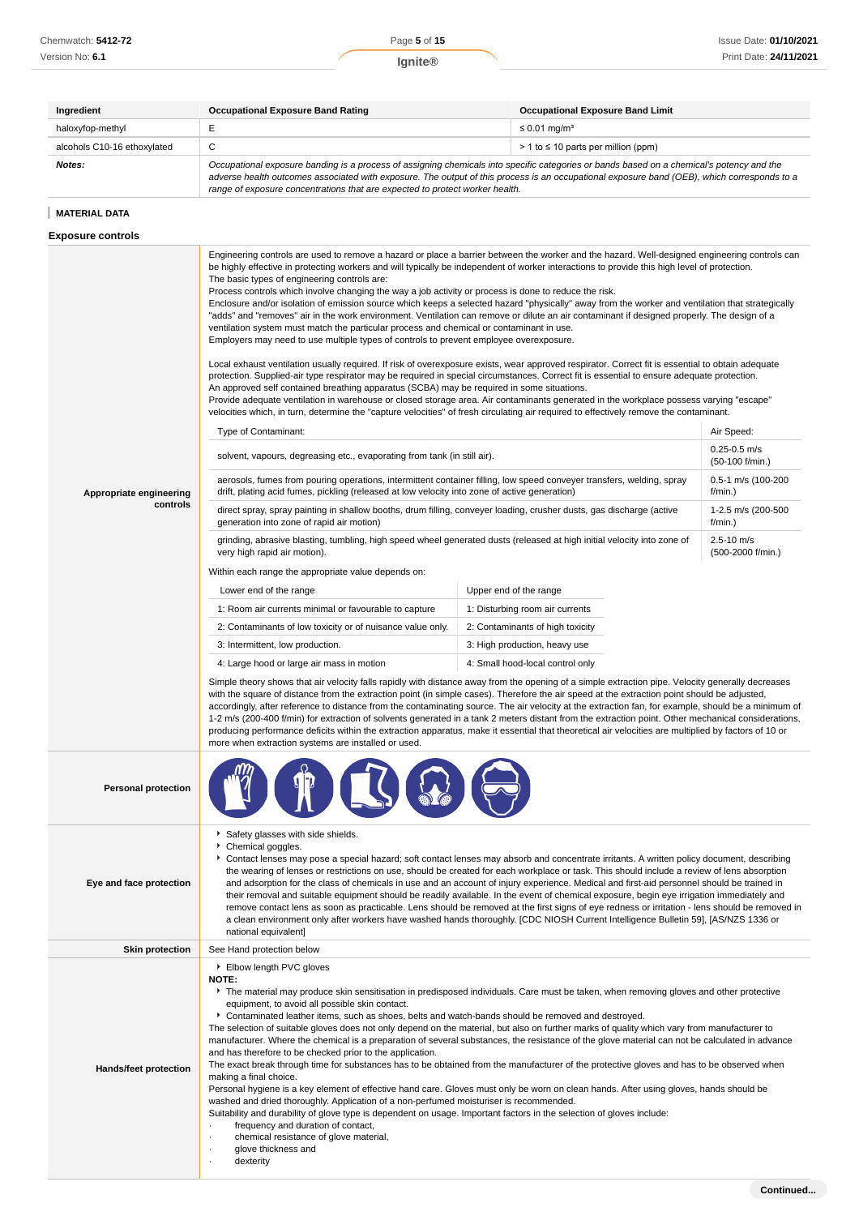| Ingredient                  | <b>Occupational Exposure Band Rating</b>                                                                                                                                                                                                                                                                                                                                 | <b>Occupational Exposure Band Limit</b>    |  |
|-----------------------------|--------------------------------------------------------------------------------------------------------------------------------------------------------------------------------------------------------------------------------------------------------------------------------------------------------------------------------------------------------------------------|--------------------------------------------|--|
| haloxyfop-methyl            |                                                                                                                                                                                                                                                                                                                                                                          | $\leq$ 0.01 mg/m <sup>3</sup>              |  |
| alcohols C10-16 ethoxylated | ັ                                                                                                                                                                                                                                                                                                                                                                        | $> 1$ to $\leq 10$ parts per million (ppm) |  |
| Notes:                      | Occupational exposure banding is a process of assigning chemicals into specific categories or bands based on a chemical's potency and the<br>adverse health outcomes associated with exposure. The output of this process is an occupational exposure band (OEB), which corresponds to a<br>range of exposure concentrations that are expected to protect worker health. |                                            |  |

# **MATERIAL DATA**

**Exposure controls**

| <b>Exposure controls</b>            |                                                                                                                                                                                                                                                                                                                                                                                                                                                                                                                                                                                                                                                                                                                                                                                                                                                                                                                                                                                                                                                                                                                                                                                                                                                                                                                                                                                                                                                                                                                                                                                                                                                                                                                                                                                                                                                                                                                                                                                                                                                                                                                                                                                                                                                                                                                                                                                                                                                                                                                                                                                                                                                                                                                                                                                                                                                                                                                                                                                                                                                                                                                                                                                                                                                                                                                                                                       |                                                                                                                                                                  |  |  |
|-------------------------------------|-----------------------------------------------------------------------------------------------------------------------------------------------------------------------------------------------------------------------------------------------------------------------------------------------------------------------------------------------------------------------------------------------------------------------------------------------------------------------------------------------------------------------------------------------------------------------------------------------------------------------------------------------------------------------------------------------------------------------------------------------------------------------------------------------------------------------------------------------------------------------------------------------------------------------------------------------------------------------------------------------------------------------------------------------------------------------------------------------------------------------------------------------------------------------------------------------------------------------------------------------------------------------------------------------------------------------------------------------------------------------------------------------------------------------------------------------------------------------------------------------------------------------------------------------------------------------------------------------------------------------------------------------------------------------------------------------------------------------------------------------------------------------------------------------------------------------------------------------------------------------------------------------------------------------------------------------------------------------------------------------------------------------------------------------------------------------------------------------------------------------------------------------------------------------------------------------------------------------------------------------------------------------------------------------------------------------------------------------------------------------------------------------------------------------------------------------------------------------------------------------------------------------------------------------------------------------------------------------------------------------------------------------------------------------------------------------------------------------------------------------------------------------------------------------------------------------------------------------------------------------------------------------------------------------------------------------------------------------------------------------------------------------------------------------------------------------------------------------------------------------------------------------------------------------------------------------------------------------------------------------------------------------------------------------------------------------------------------------------------------------|------------------------------------------------------------------------------------------------------------------------------------------------------------------|--|--|
| Appropriate engineering<br>controls | Engineering controls are used to remove a hazard or place a barrier between the worker and the hazard. Well-designed engineering controls can<br>be highly effective in protecting workers and will typically be independent of worker interactions to provide this high level of protection.<br>The basic types of engineering controls are:<br>Process controls which involve changing the way a job activity or process is done to reduce the risk.<br>Enclosure and/or isolation of emission source which keeps a selected hazard "physically" away from the worker and ventilation that strategically<br>"adds" and "removes" air in the work environment. Ventilation can remove or dilute an air contaminant if designed properly. The design of a<br>ventilation system must match the particular process and chemical or contaminant in use.<br>Employers may need to use multiple types of controls to prevent employee overexposure.<br>Local exhaust ventilation usually required. If risk of overexposure exists, wear approved respirator. Correct fit is essential to obtain adequate<br>protection. Supplied-air type respirator may be required in special circumstances. Correct fit is essential to ensure adequate protection.<br>An approved self contained breathing apparatus (SCBA) may be required in some situations.<br>Provide adequate ventilation in warehouse or closed storage area. Air contaminants generated in the workplace possess varying "escape"<br>velocities which, in turn, determine the "capture velocities" of fresh circulating air required to effectively remove the contaminant.<br>Type of Contaminant:<br>solvent, vapours, degreasing etc., evaporating from tank (in still air).<br>aerosols, fumes from pouring operations, intermittent container filling, low speed conveyer transfers, welding, spray<br>drift, plating acid fumes, pickling (released at low velocity into zone of active generation)<br>direct spray, spray painting in shallow booths, drum filling, conveyer loading, crusher dusts, gas discharge (active<br>generation into zone of rapid air motion)<br>grinding, abrasive blasting, tumbling, high speed wheel generated dusts (released at high initial velocity into zone of<br>very high rapid air motion).<br>Within each range the appropriate value depends on:<br>Lower end of the range<br>1: Room air currents minimal or favourable to capture<br>2: Contaminants of low toxicity or of nuisance value only.<br>3: Intermittent, low production.<br>4: Large hood or large air mass in motion<br>Simple theory shows that air velocity falls rapidly with distance away from the opening of a simple extraction pipe. Velocity generally decreases<br>with the square of distance from the extraction point (in simple cases). Therefore the air speed at the extraction point should be adjusted,<br>accordingly, after reference to distance from the contaminating source. The air velocity at the extraction fan, for example, should be a minimum of<br>1-2 m/s (200-400 f/min) for extraction of solvents generated in a tank 2 meters distant from the extraction point. Other mechanical considerations,<br>producing performance deficits within the extraction apparatus, make it essential that theoretical air velocities are multiplied by factors of 10 or | Air Speed:<br>$0.25 - 0.5$ m/s<br>(50-100 f/min.)<br>0.5-1 m/s (100-200<br>$f/min.$ )<br>1-2.5 m/s (200-500<br>$f/min.$ )<br>$2.5 - 10$ m/s<br>(500-2000 f/min.) |  |  |
| <b>Personal protection</b>          | more when extraction systems are installed or used.                                                                                                                                                                                                                                                                                                                                                                                                                                                                                                                                                                                                                                                                                                                                                                                                                                                                                                                                                                                                                                                                                                                                                                                                                                                                                                                                                                                                                                                                                                                                                                                                                                                                                                                                                                                                                                                                                                                                                                                                                                                                                                                                                                                                                                                                                                                                                                                                                                                                                                                                                                                                                                                                                                                                                                                                                                                                                                                                                                                                                                                                                                                                                                                                                                                                                                                   |                                                                                                                                                                  |  |  |
| Eye and face protection             | Safety glasses with side shields.<br>Chemical goggles.<br>Contact lenses may pose a special hazard; soft contact lenses may absorb and concentrate irritants. A written policy document, describing<br>the wearing of lenses or restrictions on use, should be created for each workplace or task. This should include a review of lens absorption<br>and adsorption for the class of chemicals in use and an account of injury experience. Medical and first-aid personnel should be trained in<br>their removal and suitable equipment should be readily available. In the event of chemical exposure, begin eye irrigation immediately and<br>remove contact lens as soon as practicable. Lens should be removed at the first signs of eye redness or irritation - lens should be removed in<br>a clean environment only after workers have washed hands thoroughly. [CDC NIOSH Current Intelligence Bulletin 59], [AS/NZS 1336 or<br>national equivalent]                                                                                                                                                                                                                                                                                                                                                                                                                                                                                                                                                                                                                                                                                                                                                                                                                                                                                                                                                                                                                                                                                                                                                                                                                                                                                                                                                                                                                                                                                                                                                                                                                                                                                                                                                                                                                                                                                                                                                                                                                                                                                                                                                                                                                                                                                                                                                                                                         |                                                                                                                                                                  |  |  |
| <b>Skin protection</b>              | See Hand protection below                                                                                                                                                                                                                                                                                                                                                                                                                                                                                                                                                                                                                                                                                                                                                                                                                                                                                                                                                                                                                                                                                                                                                                                                                                                                                                                                                                                                                                                                                                                                                                                                                                                                                                                                                                                                                                                                                                                                                                                                                                                                                                                                                                                                                                                                                                                                                                                                                                                                                                                                                                                                                                                                                                                                                                                                                                                                                                                                                                                                                                                                                                                                                                                                                                                                                                                                             |                                                                                                                                                                  |  |  |
| <b>Hands/feet protection</b>        | Elbow length PVC gloves<br><b>NOTE:</b><br>The material may produce skin sensitisation in predisposed individuals. Care must be taken, when removing gloves and other protective<br>equipment, to avoid all possible skin contact.<br>▶ Contaminated leather items, such as shoes, belts and watch-bands should be removed and destroyed.<br>The selection of suitable gloves does not only depend on the material, but also on further marks of quality which vary from manufacturer to<br>manufacturer. Where the chemical is a preparation of several substances, the resistance of the glove material can not be calculated in advance<br>and has therefore to be checked prior to the application.<br>The exact break through time for substances has to be obtained from the manufacturer of the protective gloves and has to be observed when<br>making a final choice.<br>Personal hygiene is a key element of effective hand care. Gloves must only be worn on clean hands. After using gloves, hands should be<br>washed and dried thoroughly. Application of a non-perfumed moisturiser is recommended.<br>Suitability and durability of glove type is dependent on usage. Important factors in the selection of gloves include:<br>frequency and duration of contact,<br>chemical resistance of glove material,<br>glove thickness and<br>dexterity                                                                                                                                                                                                                                                                                                                                                                                                                                                                                                                                                                                                                                                                                                                                                                                                                                                                                                                                                                                                                                                                                                                                                                                                                                                                                                                                                                                                                                                                                                                                                                                                                                                                                                                                                                                                                                                                                                                                                                                                       |                                                                                                                                                                  |  |  |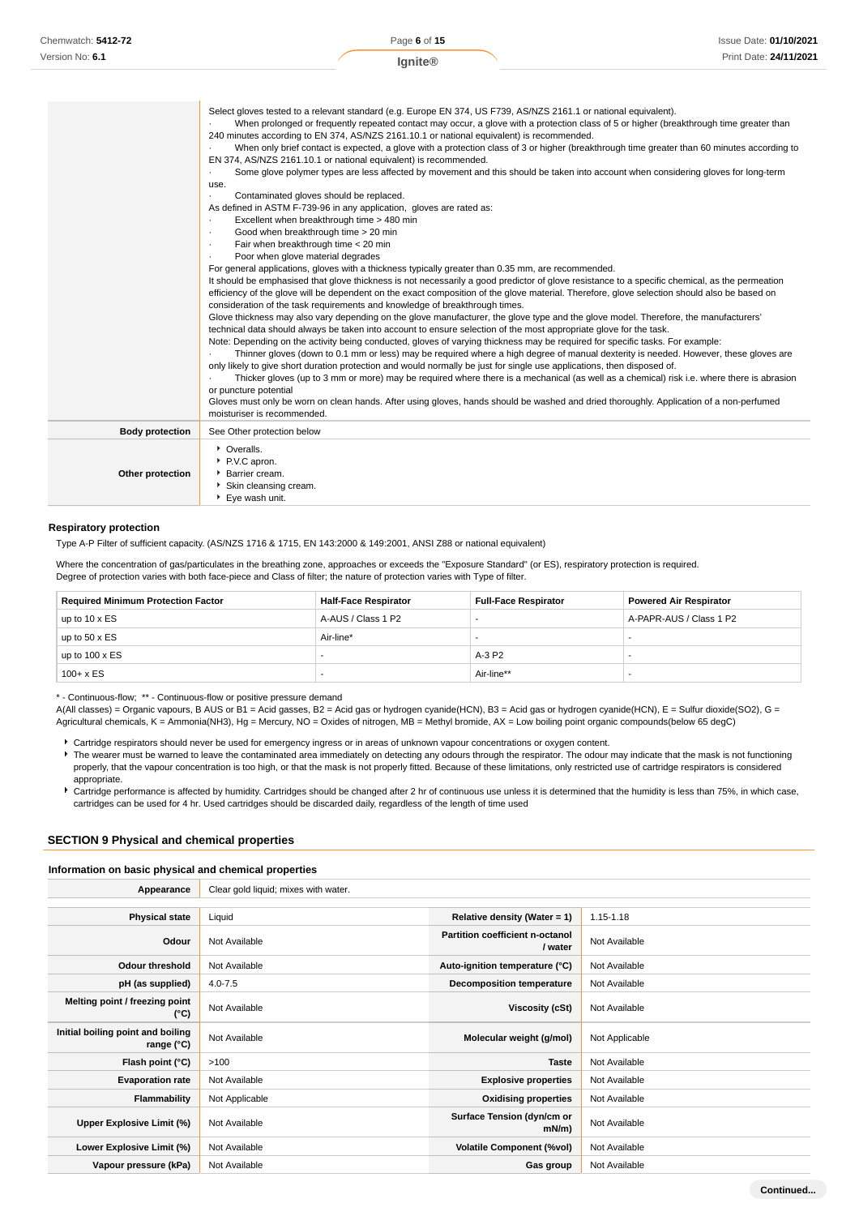| Chemwatch: 5412-72 |
|--------------------|
| Version No: 6.1    |

**Continued...**

|                        | Select gloves tested to a relevant standard (e.g. Europe EN 374, US F739, AS/NZS 2161.1 or national equivalent).<br>When prolonged or frequently repeated contact may occur, a glove with a protection class of 5 or higher (breakthrough time greater than<br>240 minutes according to EN 374, AS/NZS 2161.10.1 or national equivalent) is recommended.<br>When only brief contact is expected, a glove with a protection class of 3 or higher (breakthrough time greater than 60 minutes according to<br>EN 374, AS/NZS 2161.10.1 or national equivalent) is recommended.<br>Some glove polymer types are less affected by movement and this should be taken into account when considering gloves for long-term<br>use.<br>Contaminated gloves should be replaced.<br>As defined in ASTM F-739-96 in any application, gloves are rated as:<br>Excellent when breakthrough time > 480 min<br>$\cdot$<br>Good when breakthrough time > 20 min<br>$\cdot$<br>Fair when breakthrough time < 20 min<br>$\cdot$<br>Poor when glove material degrades<br>$\cdot$<br>For general applications, gloves with a thickness typically greater than 0.35 mm, are recommended.<br>It should be emphasised that glove thickness is not necessarily a good predictor of glove resistance to a specific chemical, as the permeation<br>efficiency of the glove will be dependent on the exact composition of the glove material. Therefore, glove selection should also be based on<br>consideration of the task requirements and knowledge of breakthrough times.<br>Glove thickness may also vary depending on the glove manufacturer, the glove type and the glove model. Therefore, the manufacturers'<br>technical data should always be taken into account to ensure selection of the most appropriate glove for the task.<br>Note: Depending on the activity being conducted, gloves of varying thickness may be required for specific tasks. For example:<br>Thinner gloves (down to 0.1 mm or less) may be required where a high degree of manual dexterity is needed. However, these gloves are<br>only likely to give short duration protection and would normally be just for single use applications, then disposed of.<br>Thicker gloves (up to 3 mm or more) may be required where there is a mechanical (as well as a chemical) risk i.e. where there is abrasion<br>or puncture potential<br>Gloves must only be worn on clean hands. After using gloves, hands should be washed and dried thoroughly. Application of a non-perfumed<br>moisturiser is recommended. |
|------------------------|----------------------------------------------------------------------------------------------------------------------------------------------------------------------------------------------------------------------------------------------------------------------------------------------------------------------------------------------------------------------------------------------------------------------------------------------------------------------------------------------------------------------------------------------------------------------------------------------------------------------------------------------------------------------------------------------------------------------------------------------------------------------------------------------------------------------------------------------------------------------------------------------------------------------------------------------------------------------------------------------------------------------------------------------------------------------------------------------------------------------------------------------------------------------------------------------------------------------------------------------------------------------------------------------------------------------------------------------------------------------------------------------------------------------------------------------------------------------------------------------------------------------------------------------------------------------------------------------------------------------------------------------------------------------------------------------------------------------------------------------------------------------------------------------------------------------------------------------------------------------------------------------------------------------------------------------------------------------------------------------------------------------------------------------------------------------------------------------------------------------------------------------------------------------------------------------------------------------------------------------------------------------------------------------------------------------------------------------------------------------------------------------------------------------------------------------------------------------------------------------------------------------------------------------------------------------|
| <b>Body protection</b> | See Other protection below                                                                                                                                                                                                                                                                                                                                                                                                                                                                                                                                                                                                                                                                                                                                                                                                                                                                                                                                                                                                                                                                                                                                                                                                                                                                                                                                                                                                                                                                                                                                                                                                                                                                                                                                                                                                                                                                                                                                                                                                                                                                                                                                                                                                                                                                                                                                                                                                                                                                                                                                           |
| Other protection       | • Overalls.<br>P.V.C apron.<br><b>Barrier cream.</b><br>Skin cleansing cream.<br>▶ Eye wash unit.                                                                                                                                                                                                                                                                                                                                                                                                                                                                                                                                                                                                                                                                                                                                                                                                                                                                                                                                                                                                                                                                                                                                                                                                                                                                                                                                                                                                                                                                                                                                                                                                                                                                                                                                                                                                                                                                                                                                                                                                                                                                                                                                                                                                                                                                                                                                                                                                                                                                    |

### **Respiratory protection**

Type A-P Filter of sufficient capacity. (AS/NZS 1716 & 1715, EN 143:2000 & 149:2001, ANSI Z88 or national equivalent)

Where the concentration of gas/particulates in the breathing zone, approaches or exceeds the "Exposure Standard" (or ES), respiratory protection is required. Degree of protection varies with both face-piece and Class of filter; the nature of protection varies with Type of filter.

| <b>Required Minimum Protection Factor</b> | <b>Half-Face Respirator</b> | <b>Full-Face Respirator</b> | <b>Powered Air Respirator</b> |
|-------------------------------------------|-----------------------------|-----------------------------|-------------------------------|
| up to $10 \times ES$                      | A-AUS / Class 1 P2          |                             | A-PAPR-AUS / Class 1 P2       |
| up to $50 \times ES$                      | Air-line*                   |                             |                               |
| up to $100 \times ES$                     |                             | A-3 P2                      |                               |
| $100 + x ES$                              |                             | Air-line**                  |                               |

\* - Continuous-flow; \*\* - Continuous-flow or positive pressure demand

A(All classes) = Organic vapours, B AUS or B1 = Acid gasses, B2 = Acid gas or hydrogen cyanide(HCN), B3 = Acid gas or hydrogen cyanide(HCN), E = Sulfur dioxide(SO2), G = Agricultural chemicals, K = Ammonia(NH3), Hg = Mercury, NO = Oxides of nitrogen, MB = Methyl bromide, AX = Low boiling point organic compounds(below 65 degC)

Cartridge respirators should never be used for emergency ingress or in areas of unknown vapour concentrations or oxygen content.

The wearer must be warned to leave the contaminated area immediately on detecting any odours through the respirator. The odour may indicate that the mask is not functioning properly, that the vapour concentration is too high, or that the mask is not properly fitted. Because of these limitations, only restricted use of cartridge respirators is considered appropriate.

Cartridge performance is affected by humidity. Cartridges should be changed after 2 hr of continuous use unless it is determined that the humidity is less than 75%, in which case, cartridges can be used for 4 hr. Used cartridges should be discarded daily, regardless of the length of time used

### **SECTION 9 Physical and chemical properties**

### **Information on basic physical and chemical properties**

| Appearance                                      | Clear gold liquid; mixes with water. |                                            |                |
|-------------------------------------------------|--------------------------------------|--------------------------------------------|----------------|
|                                                 |                                      |                                            |                |
| <b>Physical state</b>                           | Liquid                               | Relative density (Water = 1)               | 1.15-1.18      |
| Odour                                           | Not Available                        | Partition coefficient n-octanol<br>/ water | Not Available  |
| <b>Odour threshold</b>                          | Not Available                        | Auto-ignition temperature (°C)             | Not Available  |
| pH (as supplied)                                | $4.0 - 7.5$                          | <b>Decomposition temperature</b>           | Not Available  |
| Melting point / freezing point<br>(°C)          | Not Available                        | Viscosity (cSt)                            | Not Available  |
| Initial boiling point and boiling<br>range (°C) | Not Available                        | Molecular weight (g/mol)                   | Not Applicable |
| Flash point (°C)                                | >100                                 | <b>Taste</b>                               | Not Available  |
| <b>Evaporation rate</b>                         | Not Available                        | <b>Explosive properties</b>                | Not Available  |
| Flammability                                    | Not Applicable                       | <b>Oxidising properties</b>                | Not Available  |
| Upper Explosive Limit (%)                       | Not Available                        | Surface Tension (dyn/cm or<br>mN/m         | Not Available  |
| Lower Explosive Limit (%)                       | Not Available                        | <b>Volatile Component (%vol)</b>           | Not Available  |
| Vapour pressure (kPa)                           | Not Available                        | Gas group                                  | Not Available  |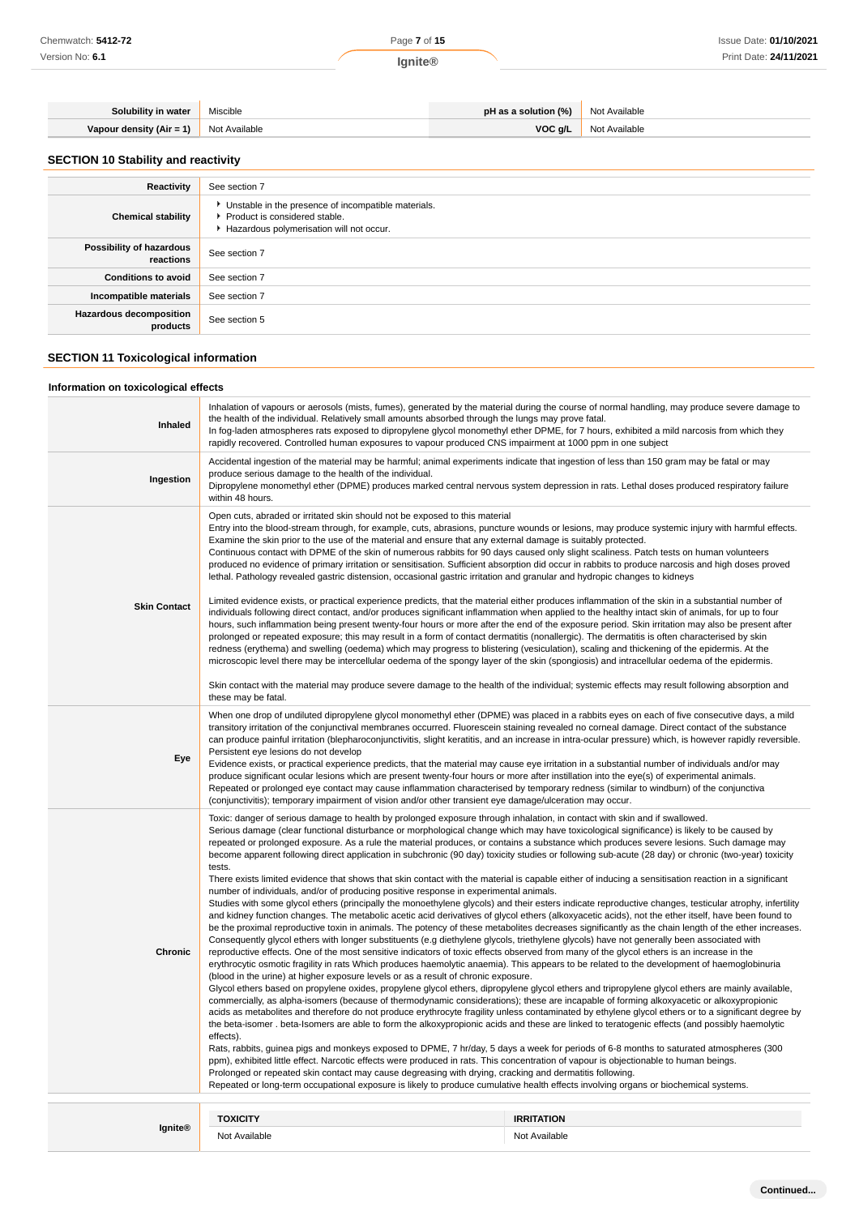| Chemwatch: 5412-72 | Page 7 of 15 | Issue Date: 01/10/2021 |
|--------------------|--------------|------------------------|
| Version No: 6.1    | lgnite®      | Print Date: 24/11/2021 |
|                    |              |                        |

| Solubility in water        | Miscible      | pH as a solution (%) | Not Available |
|----------------------------|---------------|----------------------|---------------|
| Vapour density $(Air = 1)$ | Not Available | VOC g/L              | Not Available |

# **SECTION 10 Stability and reactivity**

| Reactivity                                 | See section 7                                                                                                                      |
|--------------------------------------------|------------------------------------------------------------------------------------------------------------------------------------|
| <b>Chemical stability</b>                  | Unstable in the presence of incompatible materials.<br>▶ Product is considered stable.<br>Hazardous polymerisation will not occur. |
| Possibility of hazardous<br>reactions      | See section 7                                                                                                                      |
| <b>Conditions to avoid</b>                 | See section 7                                                                                                                      |
| Incompatible materials                     | See section 7                                                                                                                      |
| <b>Hazardous decomposition</b><br>products | See section 5                                                                                                                      |

# **SECTION 11 Toxicological information**

# **Information on toxicological effects**

| Inhaled             | Inhalation of vapours or aerosols (mists, fumes), generated by the material during the course of normal handling, may produce severe damage to<br>the health of the individual. Relatively small amounts absorbed through the lungs may prove fatal.<br>In fog-laden atmospheres rats exposed to dipropylene glycol monomethyl ether DPME, for 7 hours, exhibited a mild narcosis from which they<br>rapidly recovered. Controlled human exposures to vapour produced CNS impairment at 1000 ppm in one subject                                                                                                                                                                                                                                                                                                                                                                                                                                                                                                                                                                                                                                                                                                                                                                                                                                                                                                                                                                                                                                                                                                                                                                                                                                                                                                                                                                                                                                                                                                                                                                                                                                                                                                                                                                                                                                                                                                                                                                                                                                                                                                                                                                                                                                                                                                                                                                                                                                                                                       |                                    |  |
|---------------------|-------------------------------------------------------------------------------------------------------------------------------------------------------------------------------------------------------------------------------------------------------------------------------------------------------------------------------------------------------------------------------------------------------------------------------------------------------------------------------------------------------------------------------------------------------------------------------------------------------------------------------------------------------------------------------------------------------------------------------------------------------------------------------------------------------------------------------------------------------------------------------------------------------------------------------------------------------------------------------------------------------------------------------------------------------------------------------------------------------------------------------------------------------------------------------------------------------------------------------------------------------------------------------------------------------------------------------------------------------------------------------------------------------------------------------------------------------------------------------------------------------------------------------------------------------------------------------------------------------------------------------------------------------------------------------------------------------------------------------------------------------------------------------------------------------------------------------------------------------------------------------------------------------------------------------------------------------------------------------------------------------------------------------------------------------------------------------------------------------------------------------------------------------------------------------------------------------------------------------------------------------------------------------------------------------------------------------------------------------------------------------------------------------------------------------------------------------------------------------------------------------------------------------------------------------------------------------------------------------------------------------------------------------------------------------------------------------------------------------------------------------------------------------------------------------------------------------------------------------------------------------------------------------------------------------------------------------------------------------------------------------|------------------------------------|--|
| Ingestion           | Accidental ingestion of the material may be harmful; animal experiments indicate that ingestion of less than 150 gram may be fatal or may<br>produce serious damage to the health of the individual.<br>Dipropylene monomethyl ether (DPME) produces marked central nervous system depression in rats. Lethal doses produced respiratory failure<br>within 48 hours.                                                                                                                                                                                                                                                                                                                                                                                                                                                                                                                                                                                                                                                                                                                                                                                                                                                                                                                                                                                                                                                                                                                                                                                                                                                                                                                                                                                                                                                                                                                                                                                                                                                                                                                                                                                                                                                                                                                                                                                                                                                                                                                                                                                                                                                                                                                                                                                                                                                                                                                                                                                                                                  |                                    |  |
| <b>Skin Contact</b> | Open cuts, abraded or irritated skin should not be exposed to this material<br>Entry into the blood-stream through, for example, cuts, abrasions, puncture wounds or lesions, may produce systemic injury with harmful effects.<br>Examine the skin prior to the use of the material and ensure that any external damage is suitably protected.<br>Continuous contact with DPME of the skin of numerous rabbits for 90 days caused only slight scaliness. Patch tests on human volunteers<br>produced no evidence of primary irritation or sensitisation. Sufficient absorption did occur in rabbits to produce narcosis and high doses proved<br>lethal. Pathology revealed gastric distension, occasional gastric irritation and granular and hydropic changes to kidneys<br>Limited evidence exists, or practical experience predicts, that the material either produces inflammation of the skin in a substantial number of<br>individuals following direct contact, and/or produces significant inflammation when applied to the healthy intact skin of animals, for up to four<br>hours, such inflammation being present twenty-four hours or more after the end of the exposure period. Skin irritation may also be present after<br>prolonged or repeated exposure; this may result in a form of contact dermatitis (nonallergic). The dermatitis is often characterised by skin<br>redness (erythema) and swelling (oedema) which may progress to blistering (vesiculation), scaling and thickening of the epidermis. At the<br>microscopic level there may be intercellular oedema of the spongy layer of the skin (spongiosis) and intracellular oedema of the epidermis.<br>Skin contact with the material may produce severe damage to the health of the individual; systemic effects may result following absorption and<br>these may be fatal.                                                                                                                                                                                                                                                                                                                                                                                                                                                                                                                                                                                                                                                                                                                                                                                                                                                                                                                                                                                                                                                                                                                                         |                                    |  |
| Eye                 | When one drop of undiluted dipropylene glycol monomethyl ether (DPME) was placed in a rabbits eyes on each of five consecutive days, a mild<br>transitory irritation of the conjunctival membranes occurred. Fluorescein staining revealed no corneal damage. Direct contact of the substance<br>can produce painful irritation (blepharoconjunctivitis, slight keratitis, and an increase in intra-ocular pressure) which, is however rapidly reversible.<br>Persistent eye lesions do not develop<br>Evidence exists, or practical experience predicts, that the material may cause eye irritation in a substantial number of individuals and/or may<br>produce significant ocular lesions which are present twenty-four hours or more after instillation into the eye(s) of experimental animals.<br>Repeated or prolonged eye contact may cause inflammation characterised by temporary redness (similar to windburn) of the conjunctiva<br>(conjunctivitis); temporary impairment of vision and/or other transient eye damage/ulceration may occur.                                                                                                                                                                                                                                                                                                                                                                                                                                                                                                                                                                                                                                                                                                                                                                                                                                                                                                                                                                                                                                                                                                                                                                                                                                                                                                                                                                                                                                                                                                                                                                                                                                                                                                                                                                                                                                                                                                                                              |                                    |  |
| Chronic             | Toxic: danger of serious damage to health by prolonged exposure through inhalation, in contact with skin and if swallowed.<br>Serious damage (clear functional disturbance or morphological change which may have toxicological significance) is likely to be caused by<br>repeated or prolonged exposure. As a rule the material produces, or contains a substance which produces severe lesions. Such damage may<br>become apparent following direct application in subchronic (90 day) toxicity studies or following sub-acute (28 day) or chronic (two-year) toxicity<br>tests.<br>There exists limited evidence that shows that skin contact with the material is capable either of inducing a sensitisation reaction in a significant<br>number of individuals, and/or of producing positive response in experimental animals.<br>Studies with some glycol ethers (principally the monoethylene glycols) and their esters indicate reproductive changes, testicular atrophy, infertility<br>and kidney function changes. The metabolic acetic acid derivatives of glycol ethers (alkoxyacetic acids), not the ether itself, have been found to<br>be the proximal reproductive toxin in animals. The potency of these metabolites decreases significantly as the chain length of the ether increases.<br>Consequently glycol ethers with longer substituents (e.g diethylene glycols, triethylene glycols) have not generally been associated with<br>reproductive effects. One of the most sensitive indicators of toxic effects observed from many of the glycol ethers is an increase in the<br>erythrocytic osmotic fragility in rats Which produces haemolytic anaemia). This appears to be related to the development of haemoglobinuria<br>(blood in the urine) at higher exposure levels or as a result of chronic exposure.<br>Glycol ethers based on propylene oxides, propylene glycol ethers, dipropylene glycol ethers and tripropylene glycol ethers are mainly available,<br>commercially, as alpha-isomers (because of thermodynamic considerations); these are incapable of forming alkoxyacetic or alkoxypropionic<br>acids as metabolites and therefore do not produce erythrocyte fragility unless contaminated by ethylene glycol ethers or to a significant degree by<br>the beta-isomer. beta-Isomers are able to form the alkoxypropionic acids and these are linked to teratogenic effects (and possibly haemolytic<br>effects).<br>Rats, rabbits, guinea pigs and monkeys exposed to DPME, 7 hr/day, 5 days a week for periods of 6-8 months to saturated atmospheres (300<br>ppm), exhibited little effect. Narcotic effects were produced in rats. This concentration of vapour is objectionable to human beings.<br>Prolonged or repeated skin contact may cause degreasing with drying, cracking and dermatitis following.<br>Repeated or long-term occupational exposure is likely to produce cumulative health effects involving organs or biochemical systems. |                                    |  |
| <b>Ignite®</b>      | <b>TOXICITY</b><br>Not Available                                                                                                                                                                                                                                                                                                                                                                                                                                                                                                                                                                                                                                                                                                                                                                                                                                                                                                                                                                                                                                                                                                                                                                                                                                                                                                                                                                                                                                                                                                                                                                                                                                                                                                                                                                                                                                                                                                                                                                                                                                                                                                                                                                                                                                                                                                                                                                                                                                                                                                                                                                                                                                                                                                                                                                                                                                                                                                                                                                      | <b>IRRITATION</b><br>Not Available |  |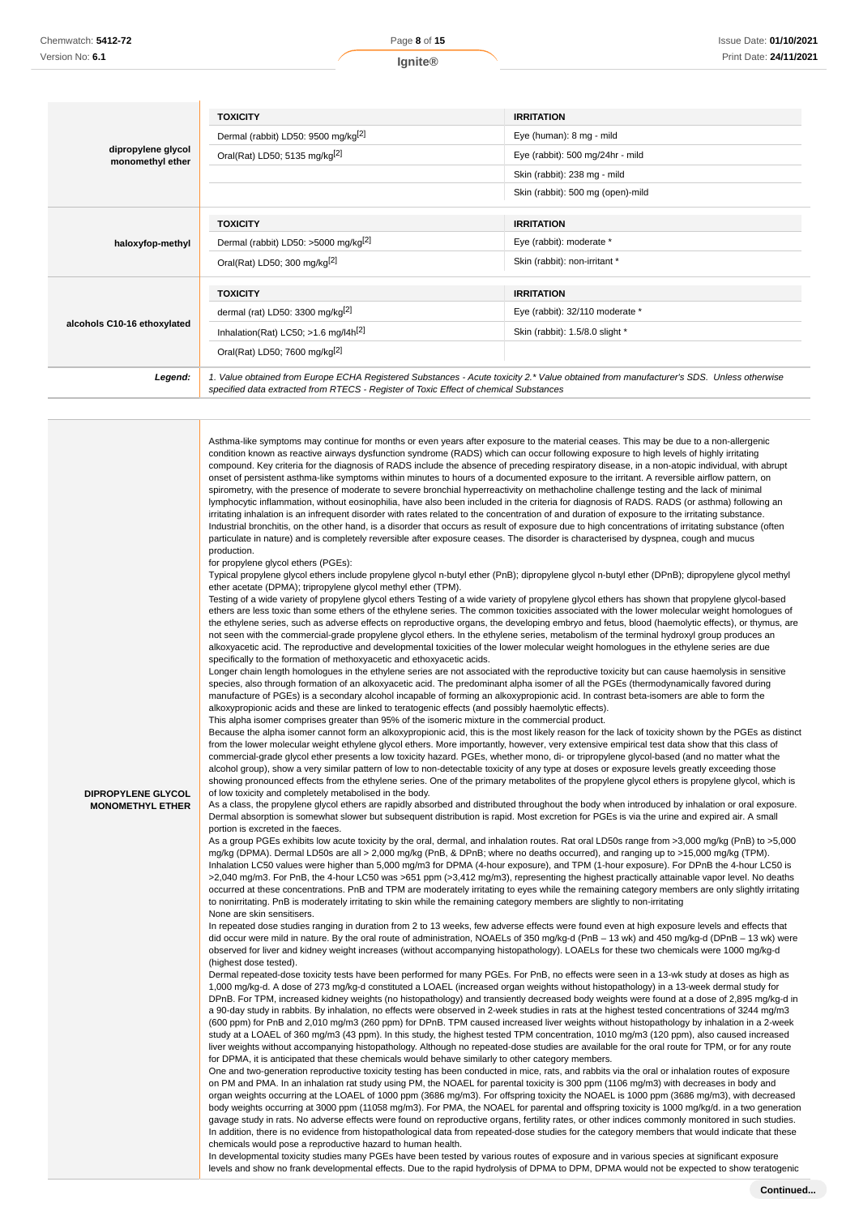|                                        | <b>TOXICITY</b>                                                                                                                                                                                                                 | <b>IRRITATION</b>                 |
|----------------------------------------|---------------------------------------------------------------------------------------------------------------------------------------------------------------------------------------------------------------------------------|-----------------------------------|
|                                        | Dermal (rabbit) LD50: 9500 mg/kg <sup>[2]</sup>                                                                                                                                                                                 | Eye (human): 8 mg - mild          |
| dipropylene glycol<br>monomethyl ether | Oral(Rat) LD50; 5135 mg/kg[2]                                                                                                                                                                                                   | Eye (rabbit): 500 mg/24hr - mild  |
|                                        |                                                                                                                                                                                                                                 | Skin (rabbit): 238 mg - mild      |
|                                        |                                                                                                                                                                                                                                 | Skin (rabbit): 500 mg (open)-mild |
|                                        |                                                                                                                                                                                                                                 |                                   |
|                                        | <b>TOXICITY</b>                                                                                                                                                                                                                 | <b>IRRITATION</b>                 |
| haloxyfop-methyl                       | Dermal (rabbit) LD50: >5000 mg/kg <sup>[2]</sup>                                                                                                                                                                                | Eye (rabbit): moderate *          |
|                                        | Oral(Rat) LD50; 300 mg/kg <sup>[2]</sup>                                                                                                                                                                                        | Skin (rabbit): non-irritant *     |
|                                        |                                                                                                                                                                                                                                 |                                   |
|                                        | <b>TOXICITY</b>                                                                                                                                                                                                                 | <b>IRRITATION</b>                 |
|                                        | dermal (rat) LD50: 3300 mg/kg $[2]$                                                                                                                                                                                             | Eye (rabbit): 32/110 moderate *   |
| alcohols C10-16 ethoxylated            | Inhalation(Rat) LC50; $>1.6$ mg/l4h <sup>[2]</sup>                                                                                                                                                                              | Skin (rabbit): 1.5/8.0 slight *   |
|                                        | Oral(Rat) LD50; 7600 mg/kg <sup>[2]</sup>                                                                                                                                                                                       |                                   |
| Legend:                                | 1. Value obtained from Europe ECHA Registered Substances - Acute toxicity 2.* Value obtained from manufacturer's SDS. Unless otherwise<br>specified data extracted from RTECS - Register of Toxic Effect of chemical Substances |                                   |

Asthma-like symptoms may continue for months or even years after exposure to the material ceases. This may be due to a non-allergenic condition known as reactive airways dysfunction syndrome (RADS) which can occur following exposure to high levels of highly irritating compound. Key criteria for the diagnosis of RADS include the absence of preceding respiratory disease, in a non-atopic individual, with abrupt onset of persistent asthma-like symptoms within minutes to hours of a documented exposure to the irritant. A reversible airflow pattern, on spirometry, with the presence of moderate to severe bronchial hyperreactivity on methacholine challenge testing and the lack of minimal lymphocytic inflammation, without eosinophilia, have also been included in the criteria for diagnosis of RADS. RADS (or asthma) following an irritating inhalation is an infrequent disorder with rates related to the concentration of and duration of exposure to the irritating substance. Industrial bronchitis, on the other hand, is a disorder that occurs as result of exposure due to high concentrations of irritating substance (often particulate in nature) and is completely reversible after exposure ceases. The disorder is characterised by dyspnea, cough and mucus production.

for propylene glycol ethers (PGEs):

Typical propylene glycol ethers include propylene glycol n-butyl ether (PnB); dipropylene glycol n-butyl ether (DPnB); dipropylene glycol methyl ether acetate (DPMA); tripropylene glycol methyl ether (TPM).

Testing of a wide variety of propylene glycol ethers Testing of a wide variety of propylene glycol ethers has shown that propylene glycol-based ethers are less toxic than some ethers of the ethylene series. The common toxicities associated with the lower molecular weight homologues of the ethylene series, such as adverse effects on reproductive organs, the developing embryo and fetus, blood (haemolytic effects), or thymus, are not seen with the commercial-grade propylene glycol ethers. In the ethylene series, metabolism of the terminal hydroxyl group produces an alkoxyacetic acid. The reproductive and developmental toxicities of the lower molecular weight homologues in the ethylene series are due specifically to the formation of methoxyacetic and ethoxyacetic acids.

Longer chain length homologues in the ethylene series are not associated with the reproductive toxicity but can cause haemolysis in sensitive species, also through formation of an alkoxyacetic acid. The predominant alpha isomer of all the PGEs (thermodynamically favored during manufacture of PGEs) is a secondary alcohol incapable of forming an alkoxypropionic acid. In contrast beta-isomers are able to form the alkoxypropionic acids and these are linked to teratogenic effects (and possibly haemolytic effects). This alpha isomer comprises greater than 95% of the isomeric mixture in the commercial product.

Because the alpha isomer cannot form an alkoxypropionic acid, this is the most likely reason for the lack of toxicity shown by the PGEs as distinct from the lower molecular weight ethylene glycol ethers. More importantly, however, very extensive empirical test data show that this class of commercial-grade glycol ether presents a low toxicity hazard. PGEs, whether mono, di- or tripropylene glycol-based (and no matter what the alcohol group), show a very similar pattern of low to non-detectable toxicity of any type at doses or exposure levels greatly exceeding those showing pronounced effects from the ethylene series. One of the primary metabolites of the propylene glycol ethers is propylene glycol, which is of low toxicity and completely metabolised in the body.

**DIPROPYLENE GLYCOL MONOMETHYL ETHER**

As a class, the propylene glycol ethers are rapidly absorbed and distributed throughout the body when introduced by inhalation or oral exposure. Dermal absorption is somewhat slower but subsequent distribution is rapid. Most excretion for PGEs is via the urine and expired air. A small portion is excreted in the faeces.

As a group PGEs exhibits low acute toxicity by the oral, dermal, and inhalation routes. Rat oral LD50s range from >3,000 mg/kg (PnB) to >5,000 mg/kg (DPMA). Dermal LD50s are all > 2,000 mg/kg (PnB, & DPnB; where no deaths occurred), and ranging up to >15,000 mg/kg (TPM). Inhalation LC50 values were higher than 5,000 mg/m3 for DPMA (4-hour exposure), and TPM (1-hour exposure). For DPnB the 4-hour LC50 is >2,040 mg/m3. For PnB, the 4-hour LC50 was >651 ppm (>3,412 mg/m3), representing the highest practically attainable vapor level. No deaths occurred at these concentrations. PnB and TPM are moderately irritating to eyes while the remaining category members are only slightly irritating to nonirritating. PnB is moderately irritating to skin while the remaining category members are slightly to non-irritating None are skin sensitisers.

In repeated dose studies ranging in duration from 2 to 13 weeks, few adverse effects were found even at high exposure levels and effects that did occur were mild in nature. By the oral route of administration, NOAELs of 350 mg/kg-d (PnB – 13 wk) and 450 mg/kg-d (DPnB – 13 wk) were observed for liver and kidney weight increases (without accompanying histopathology). LOAELs for these two chemicals were 1000 mg/kg-d (highest dose tested).

Dermal repeated-dose toxicity tests have been performed for many PGEs. For PnB, no effects were seen in a 13-wk study at doses as high as 1,000 mg/kg-d. A dose of 273 mg/kg-d constituted a LOAEL (increased organ weights without histopathology) in a 13-week dermal study for DPnB. For TPM, increased kidney weights (no histopathology) and transiently decreased body weights were found at a dose of 2,895 mg/kg-d in a 90-day study in rabbits. By inhalation, no effects were observed in 2-week studies in rats at the highest tested concentrations of 3244 mg/m3 (600 ppm) for PnB and 2,010 mg/m3 (260 ppm) for DPnB. TPM caused increased liver weights without histopathology by inhalation in a 2-week study at a LOAEL of 360 mg/m3 (43 ppm). In this study, the highest tested TPM concentration, 1010 mg/m3 (120 ppm), also caused increased liver weights without accompanying histopathology. Although no repeated-dose studies are available for the oral route for TPM, or for any route for DPMA, it is anticipated that these chemicals would behave similarly to other category members.

One and two-generation reproductive toxicity testing has been conducted in mice, rats, and rabbits via the oral or inhalation routes of exposure on PM and PMA. In an inhalation rat study using PM, the NOAEL for parental toxicity is 300 ppm (1106 mg/m3) with decreases in body and organ weights occurring at the LOAEL of 1000 ppm (3686 mg/m3). For offspring toxicity the NOAEL is 1000 ppm (3686 mg/m3), with decreased body weights occurring at 3000 ppm (11058 mg/m3). For PMA, the NOAEL for parental and offspring toxicity is 1000 mg/kg/d. in a two generation gavage study in rats. No adverse effects were found on reproductive organs, fertility rates, or other indices commonly monitored in such studies. In addition, there is no evidence from histopathological data from repeated-dose studies for the category members that would indicate that these chemicals would pose a reproductive hazard to human health.

In developmental toxicity studies many PGEs have been tested by various routes of exposure and in various species at significant exposure levels and show no frank developmental effects. Due to the rapid hydrolysis of DPMA to DPM, DPMA would not be expected to show teratogenic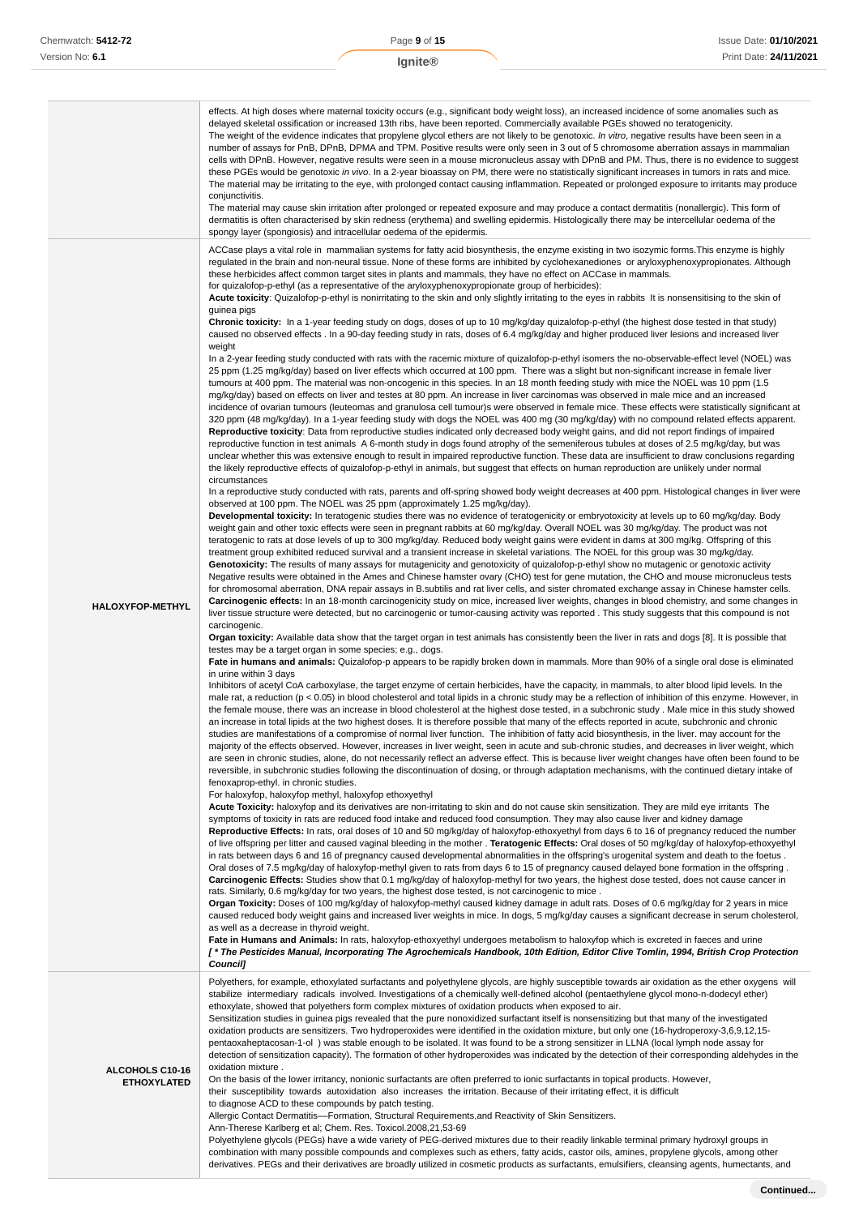|                                       | effects. At high doses where maternal toxicity occurs (e.g., significant body weight loss), an increased incidence of some anomalies such as<br>delayed skeletal ossification or increased 13th ribs, have been reported. Commercially available PGEs showed no teratogenicity.<br>The weight of the evidence indicates that propylene glycol ethers are not likely to be genotoxic. In vitro, negative results have been seen in a<br>number of assays for PnB, DPnB, DPMA and TPM. Positive results were only seen in 3 out of 5 chromosome aberration assays in mammalian<br>cells with DPnB. However, negative results were seen in a mouse micronucleus assay with DPnB and PM. Thus, there is no evidence to suggest<br>these PGEs would be genotoxic in vivo. In a 2-year bioassay on PM, there were no statistically significant increases in tumors in rats and mice.<br>The material may be irritating to the eye, with prolonged contact causing inflammation. Repeated or prolonged exposure to irritants may produce<br>conjunctivitis.<br>The material may cause skin irritation after prolonged or repeated exposure and may produce a contact dermatitis (nonallergic). This form of<br>dermatitis is often characterised by skin redness (erythema) and swelling epidermis. Histologically there may be intercellular oedema of the<br>spongy layer (spongiosis) and intracellular oedema of the epidermis.                                                                                                                                                                                                                                                                                                                                                                                                                                                                                                                                                                                                                                                                                                                                                                                                                                                                                                                                                                                                                                                                                                                                                                                                                                                                                                                                                                                                                                                                                                                                                                                                                                                                                                                                                                                                                                                                                                                                                                                                                                                                                                                                                                                                                                                                                                                                                                                                                                                                                                                                                                                                                                                                                                                                                                                                                                                                                                                                                                                                                                                                                                                                                                                                                                                                                                                                                                                                                                                                                                                                                                                                                                                                                                                                                                                                                                                                                                                                                                                                                                                                                                                                                                                                                                                                                                                                                                                                                                                                                                                                                                                                                                                                                                                                                                                                                                                                                                                                                                                                                                                                                                                                                                                                                                                                                                                                                                                                                                                                                                                                                                                                                                                                                                                                                                                                                                                                                                                                                                                                                                                                                                                                                                                  |
|---------------------------------------|---------------------------------------------------------------------------------------------------------------------------------------------------------------------------------------------------------------------------------------------------------------------------------------------------------------------------------------------------------------------------------------------------------------------------------------------------------------------------------------------------------------------------------------------------------------------------------------------------------------------------------------------------------------------------------------------------------------------------------------------------------------------------------------------------------------------------------------------------------------------------------------------------------------------------------------------------------------------------------------------------------------------------------------------------------------------------------------------------------------------------------------------------------------------------------------------------------------------------------------------------------------------------------------------------------------------------------------------------------------------------------------------------------------------------------------------------------------------------------------------------------------------------------------------------------------------------------------------------------------------------------------------------------------------------------------------------------------------------------------------------------------------------------------------------------------------------------------------------------------------------------------------------------------------------------------------------------------------------------------------------------------------------------------------------------------------------------------------------------------------------------------------------------------------------------------------------------------------------------------------------------------------------------------------------------------------------------------------------------------------------------------------------------------------------------------------------------------------------------------------------------------------------------------------------------------------------------------------------------------------------------------------------------------------------------------------------------------------------------------------------------------------------------------------------------------------------------------------------------------------------------------------------------------------------------------------------------------------------------------------------------------------------------------------------------------------------------------------------------------------------------------------------------------------------------------------------------------------------------------------------------------------------------------------------------------------------------------------------------------------------------------------------------------------------------------------------------------------------------------------------------------------------------------------------------------------------------------------------------------------------------------------------------------------------------------------------------------------------------------------------------------------------------------------------------------------------------------------------------------------------------------------------------------------------------------------------------------------------------------------------------------------------------------------------------------------------------------------------------------------------------------------------------------------------------------------------------------------------------------------------------------------------------------------------------------------------------------------------------------------------------------------------------------------------------------------------------------------------------------------------------------------------------------------------------------------------------------------------------------------------------------------------------------------------------------------------------------------------------------------------------------------------------------------------------------------------------------------------------------------------------------------------------------------------------------------------------------------------------------------------------------------------------------------------------------------------------------------------------------------------------------------------------------------------------------------------------------------------------------------------------------------------------------------------------------------------------------------------------------------------------------------------------------------------------------------------------------------------------------------------------------------------------------------------------------------------------------------------------------------------------------------------------------------------------------------------------------------------------------------------------------------------------------------------------------------------------------------------------------------------------------------------------------------------------------------------------------------------------------------------------------------------------------------------------------------------------------------------------------------------------------------------------------------------------------------------------------------------------------------------------------------------------------------------------------------------------------------------------------------------------------------------------------------------------------------------------------------------------------------------------------------------------------------------------------------------------------------------------------------------------------------------------------------------------------------------------------------------------------------------------------------------------------------------------------------------------------------------------------------------------------------------------------------------------------------------------------------------------------------------------------------------------------------------------------------------------------------------------------------------------------------------------------------------------------------------------------------------------------------------------------------------------------------------------------------------------------------------------------------------------------------------------------------------------------------------------------------------------------------------------------------------------------------------------------------------------------------------------------|
| <b>HALOXYFOP-METHYL</b>               | ACCase plays a vital role in mammalian systems for fatty acid biosynthesis, the enzyme existing in two isozymic forms. This enzyme is highly<br>regulated in the brain and non-neural tissue. None of these forms are inhibited by cyclohexanediones or aryloxyphenoxypropionates. Although<br>these herbicides affect common target sites in plants and mammals, they have no effect on ACCase in mammals.<br>for quizalofop-p-ethyl (as a representative of the aryloxyphenoxypropionate group of herbicides):<br>Acute toxicity: Quizalofop-p-ethyl is nonirritating to the skin and only slightly irritating to the eyes in rabbits It is nonsensitising to the skin of<br>guinea pigs<br>Chronic toxicity: In a 1-year feeding study on dogs, doses of up to 10 mg/kg/day quizalofop-p-ethyl (the highest dose tested in that study)<br>caused no observed effects. In a 90-day feeding study in rats, doses of 6.4 mg/kg/day and higher produced liver lesions and increased liver<br>weight<br>In a 2-year feeding study conducted with rats with the racemic mixture of quizalofop-p-ethyl isomers the no-observable-effect level (NOEL) was<br>25 ppm (1.25 mg/kg/day) based on liver effects which occurred at 100 ppm. There was a slight but non-significant increase in female liver<br>tumours at 400 ppm. The material was non-oncogenic in this species. In an 18 month feeding study with mice the NOEL was 10 ppm (1.5<br>mq/kq/day) based on effects on liver and testes at 80 ppm. An increase in liver carcinomas was observed in male mice and an increased<br>incidence of ovarian tumours (leuteomas and granulosa cell tumour)s were observed in female mice. These effects were statistically significant at<br>320 ppm (48 mg/kg/day). In a 1-year feeding study with dogs the NOEL was 400 mg (30 mg/kg/day) with no compound related effects apparent.<br>Reproductive toxicity: Data from reproductive studies indicated only decreased body weight gains, and did not report findings of impaired<br>reproductive function in test animals A 6-month study in dogs found atrophy of the semeniferous tubules at doses of 2.5 mg/kg/day, but was<br>unclear whether this was extensive enough to result in impaired reproductive function. These data are insufficient to draw conclusions regarding<br>the likely reproductive effects of quizalofop-p-ethyl in animals, but suggest that effects on human reproduction are unlikely under normal<br>circumstances<br>In a reproductive study conducted with rats, parents and off-spring showed body weight decreases at 400 ppm. Histological changes in liver were<br>observed at 100 ppm. The NOEL was 25 ppm (approximately 1.25 mg/kg/day).<br>Developmental toxicity: In teratogenic studies there was no evidence of teratogenicity or embryotoxicity at levels up to 60 mg/kg/day. Body<br>weight gain and other toxic effects were seen in pregnant rabbits at 60 mg/kg/day. Overall NOEL was 30 mg/kg/day. The product was not<br>teratogenic to rats at dose levels of up to 300 mg/kg/day. Reduced body weight gains were evident in dams at 300 mg/kg. Offspring of this<br>treatment group exhibited reduced survival and a transient increase in skeletal variations. The NOEL for this group was 30 mg/kg/day.<br>Genotoxicity: The results of many assays for mutagenicity and genotoxicity of quizalofop-p-ethyl show no mutagenic or genotoxic activity<br>Negative results were obtained in the Ames and Chinese hamster ovary (CHO) test for gene mutation, the CHO and mouse micronucleus tests<br>for chromosomal aberration, DNA repair assays in B.subtilis and rat liver cells, and sister chromated exchange assay in Chinese hamster cells.<br>Carcinogenic effects: In an 18-month carcinogenicity study on mice, increased liver weights, changes in blood chemistry, and some changes in<br>liver tissue structure were detected, but no carcinogenic or tumor-causing activity was reported. This study suggests that this compound is not<br>carcinogenic.<br>Organ toxicity: Available data show that the target organ in test animals has consistently been the liver in rats and dogs [8]. It is possible that<br>testes may be a target organ in some species; e.g., dogs.<br>Fate in humans and animals: Quizalofop-p appears to be rapidly broken down in mammals. More than 90% of a single oral dose is eliminated<br>in urine within 3 days<br>Inhibitors of acetyl CoA carboxylase, the target enzyme of certain herbicides, have the capacity, in mammals, to alter blood lipid levels. In the<br>male rat, a reduction ( $p < 0.05$ ) in blood cholesterol and total lipids in a chronic study may be a reflection of inhibition of this enzyme. However, in<br>the female mouse, there was an increase in blood cholesterol at the highest dose tested, in a subchronic study. Male mice in this study showed<br>an increase in total lipids at the two highest doses. It is therefore possible that many of the effects reported in acute, subchronic and chronic<br>studies are manifestations of a compromise of normal liver function. The inhibition of fatty acid biosynthesis, in the liver. may account for the<br>majority of the effects observed. However, increases in liver weight, seen in acute and sub-chronic studies, and decreases in liver weight, which<br>are seen in chronic studies, alone, do not necessarily reflect an adverse effect. This is because liver weight changes have often been found to be<br>reversible, in subchronic studies following the discontinuation of dosing, or through adaptation mechanisms, with the continued dietary intake of<br>fenoxaprop-ethyl. in chronic studies.<br>For haloxyfop, haloxyfop methyl, haloxyfop ethoxyethyl<br>Acute Toxicity: haloxyfop and its derivatives are non-irritating to skin and do not cause skin sensitization. They are mild eye irritants The<br>symptoms of toxicity in rats are reduced food intake and reduced food consumption. They may also cause liver and kidney damage<br>Reproductive Effects: In rats, oral doses of 10 and 50 mg/kg/day of haloxyfop-ethoxyethyl from days 6 to 16 of pregnancy reduced the number<br>of live offspring per litter and caused vaginal bleeding in the mother. Teratogenic Effects: Oral doses of 50 mg/kg/day of haloxyfop-ethoxyethyl<br>in rats between days 6 and 16 of pregnancy caused developmental abnormalities in the offspring's urogenital system and death to the foetus.<br>Oral doses of 7.5 mg/kg/day of haloxyfop-methyl given to rats from days 6 to 15 of pregnancy caused delayed bone formation in the offspring.<br>Carcinogenic Effects: Studies show that 0.1 mg/kg/day of haloxyfop-methyl for two years, the highest dose tested, does not cause cancer in<br>rats. Similarly, 0.6 mg/kg/day for two years, the highest dose tested, is not carcinogenic to mice.<br>Organ Toxicity: Doses of 100 mg/kg/day of haloxyfop-methyl caused kidney damage in adult rats. Doses of 0.6 mg/kg/day for 2 years in mice<br>caused reduced body weight gains and increased liver weights in mice. In dogs, 5 mg/kg/day causes a significant decrease in serum cholesterol,<br>as well as a decrease in thyroid weight.<br>Fate in Humans and Animals: In rats, haloxyfop-ethoxyethyl undergoes metabolism to haloxyfop which is excreted in faeces and urine<br>[*The Pesticides Manual, Incorporating The Agrochemicals Handbook, 10th Edition, Editor Clive Tomlin, 1994, British Crop Protection<br><b>Council]</b> |
| ALCOHOLS C10-16<br><b>ETHOXYLATED</b> | Polyethers, for example, ethoxylated surfactants and polyethylene glycols, are highly susceptible towards air oxidation as the ether oxygens will<br>stabilize intermediary radicals involved. Investigations of a chemically well-defined alcohol (pentaethylene glycol mono-n-dodecyl ether)<br>ethoxylate, showed that polyethers form complex mixtures of oxidation products when exposed to air.<br>Sensitization studies in guinea pigs revealed that the pure nonoxidized surfactant itself is nonsensitizing but that many of the investigated<br>oxidation products are sensitizers. Two hydroperoxides were identified in the oxidation mixture, but only one (16-hydroperoxy-3,6,9,12,15-<br>pentaoxaheptacosan-1-ol) was stable enough to be isolated. It was found to be a strong sensitizer in LLNA (local lymph node assay for<br>detection of sensitization capacity). The formation of other hydroperoxides was indicated by the detection of their corresponding aldehydes in the<br>oxidation mixture.<br>On the basis of the lower irritancy, nonionic surfactants are often preferred to ionic surfactants in topical products. However,<br>their susceptibility towards autoxidation also increases the irritation. Because of their irritating effect, it is difficult<br>to diagnose ACD to these compounds by patch testing.<br>Allergic Contact Dermatitis--Formation, Structural Requirements, and Reactivity of Skin Sensitizers.<br>Ann-Therese Karlberg et al; Chem. Res. Toxicol.2008,21,53-69<br>Polyethylene glycols (PEGs) have a wide variety of PEG-derived mixtures due to their readily linkable terminal primary hydroxyl groups in<br>combination with many possible compounds and complexes such as ethers, fatty acids, castor oils, amines, propylene glycols, among other<br>derivatives. PEGs and their derivatives are broadly utilized in cosmetic products as surfactants, emulsifiers, cleansing agents, humectants, and                                                                                                                                                                                                                                                                                                                                                                                                                                                                                                                                                                                                                                                                                                                                                                                                                                                                                                                                                                                                                                                                                                                                                                                                                                                                                                                                                                                                                                                                                                                                                                                                                                                                                                                                                                                                                                                                                                                                                                                                                                                                                                                                                                                                                                                                                                                                                                                                                                                                                                                                                                                                                                                                                                                                                                                                                                                                                                                                                                                                                                                                                                                                                                                                                                                                                                                                                                                                                                                                                                                                                                                                                                                                                                                                                                                                                                                                                                                                                                                                                                                                                                                                                                                                                                                                                                                                                                                                                                                                                                                                                                                                                                                                                                                                                                                                                                                                                                                                                                                                                                                                                                                                                                                                                                                                                                                                                                                                                                                                                                                                                                                                                                     |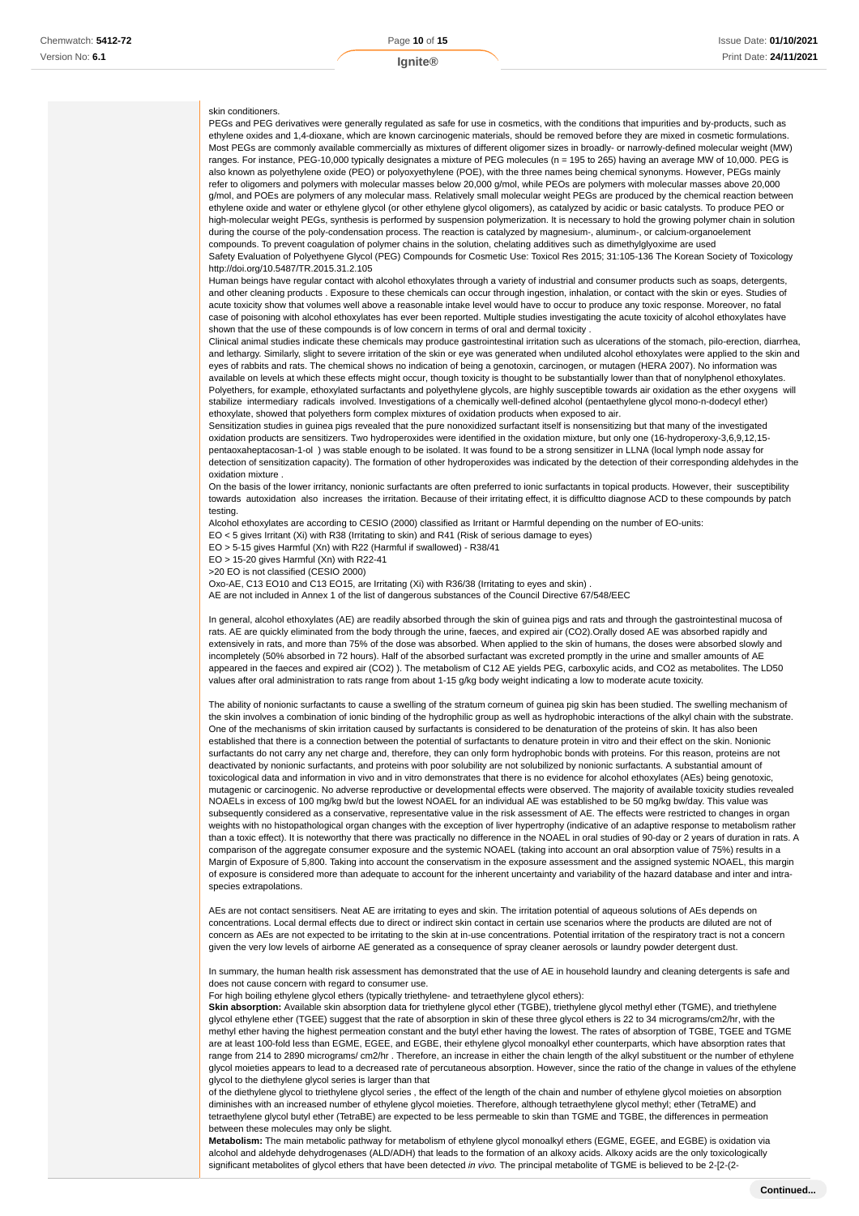#### skin conditioners.

PEGs and PEG derivatives were generally regulated as safe for use in cosmetics, with the conditions that impurities and by-products, such as ethylene oxides and 1,4-dioxane, which are known carcinogenic materials, should be removed before they are mixed in cosmetic formulations. Most PEGs are commonly available commercially as mixtures of different oligomer sizes in broadly- or narrowly-defined molecular weight (MW) ranges. For instance, PEG-10,000 typically designates a mixture of PEG molecules (n = 195 to 265) having an average MW of 10,000. PEG is also known as polyethylene oxide (PEO) or polyoxyethylene (POE), with the three names being chemical synonyms. However, PEGs mainly refer to oligomers and polymers with molecular masses below 20,000 g/mol, while PEOs are polymers with molecular masses above 20,000 g/mol, and POEs are polymers of any molecular mass. Relatively small molecular weight PEGs are produced by the chemical reaction between ethylene oxide and water or ethylene glycol (or other ethylene glycol oligomers), as catalyzed by acidic or basic catalysts. To produce PEO or high-molecular weight PEGs, synthesis is performed by suspension polymerization. It is necessary to hold the growing polymer chain in solution during the course of the poly-condensation process. The reaction is catalyzed by magnesium-, aluminum-, or calcium-organoelement compounds. To prevent coagulation of polymer chains in the solution, chelating additives such as dimethylglyoxime are used Safety Evaluation of Polyethyene Glycol (PEG) Compounds for Cosmetic Use: Toxicol Res 2015; 31:105-136 The Korean Society of Toxicology http://doi.org/10.5487/TR.2015.31.2.105

Human beings have regular contact with alcohol ethoxylates through a variety of industrial and consumer products such as soaps, detergents, and other cleaning products . Exposure to these chemicals can occur through ingestion, inhalation, or contact with the skin or eyes. Studies of acute toxicity show that volumes well above a reasonable intake level would have to occur to produce any toxic response. Moreover, no fatal case of poisoning with alcohol ethoxylates has ever been reported. Multiple studies investigating the acute toxicity of alcohol ethoxylates have shown that the use of these compounds is of low concern in terms of oral and dermal toxicity .

Clinical animal studies indicate these chemicals may produce gastrointestinal irritation such as ulcerations of the stomach, pilo-erection, diarrhea, and lethargy. Similarly, slight to severe irritation of the skin or eye was generated when undiluted alcohol ethoxylates were applied to the skin and eyes of rabbits and rats. The chemical shows no indication of being a genotoxin, carcinogen, or mutagen (HERA 2007). No information was available on levels at which these effects might occur, though toxicity is thought to be substantially lower than that of nonylphenol ethoxylates. Polyethers, for example, ethoxylated surfactants and polyethylene glycols, are highly susceptible towards air oxidation as the ether oxygens will stabilize intermediary radicals involved. Investigations of a chemically well-defined alcohol (pentaethylene glycol mono-n-dodecyl ether) ethoxylate, showed that polyethers form complex mixtures of oxidation products when exposed to air.

Sensitization studies in guinea pigs revealed that the pure nonoxidized surfactant itself is nonsensitizing but that many of the investigated oxidation products are sensitizers. Two hydroperoxides were identified in the oxidation mixture, but only one (16-hydroperoxy-3,6,9,12,15 pentaoxaheptacosan-1-ol ) was stable enough to be isolated. It was found to be a strong sensitizer in LLNA (local lymph node assay for detection of sensitization capacity). The formation of other hydroperoxides was indicated by the detection of their corresponding aldehydes in the oxidation mixture .

On the basis of the lower irritancy, nonionic surfactants are often preferred to ionic surfactants in topical products. However, their susceptibility towards autoxidation also increases the irritation. Because of their irritating effect, it is difficultto diagnose ACD to these compounds by patch testing.

Alcohol ethoxylates are according to CESIO (2000) classified as Irritant or Harmful depending on the number of EO-units:

EO < 5 gives Irritant (Xi) with R38 (Irritating to skin) and R41 (Risk of serious damage to eyes)

EO > 5-15 gives Harmful (Xn) with R22 (Harmful if swallowed) - R38/41

EO > 15-20 gives Harmful (Xn) with R22-41

>20 EO is not classified (CESIO 2000)

Oxo-AE, C13 EO10 and C13 EO15, are Irritating (Xi) with R36/38 (Irritating to eyes and skin) .

AE are not included in Annex 1 of the list of dangerous substances of the Council Directive 67/548/EEC

In general, alcohol ethoxylates (AE) are readily absorbed through the skin of guinea pigs and rats and through the gastrointestinal mucosa of rats. AE are quickly eliminated from the body through the urine, faeces, and expired air (CO2).Orally dosed AE was absorbed rapidly and extensively in rats, and more than 75% of the dose was absorbed. When applied to the skin of humans, the doses were absorbed slowly and incompletely (50% absorbed in 72 hours). Half of the absorbed surfactant was excreted promptly in the urine and smaller amounts of AE appeared in the faeces and expired air (CO2) ). The metabolism of C12 AE yields PEG, carboxylic acids, and CO2 as metabolites. The LD50 values after oral administration to rats range from about 1-15 g/kg body weight indicating a low to moderate acute toxicity.

The ability of nonionic surfactants to cause a swelling of the stratum corneum of guinea pig skin has been studied. The swelling mechanism of the skin involves a combination of ionic binding of the hydrophilic group as well as hydrophobic interactions of the alkyl chain with the substrate. One of the mechanisms of skin irritation caused by surfactants is considered to be denaturation of the proteins of skin. It has also been established that there is a connection between the potential of surfactants to denature protein in vitro and their effect on the skin. Nonionic surfactants do not carry any net charge and, therefore, they can only form hydrophobic bonds with proteins. For this reason, proteins are not deactivated by nonionic surfactants, and proteins with poor solubility are not solubilized by nonionic surfactants. A substantial amount of toxicological data and information in vivo and in vitro demonstrates that there is no evidence for alcohol ethoxylates (AEs) being genotoxic, mutagenic or carcinogenic. No adverse reproductive or developmental effects were observed. The majority of available toxicity studies revealed NOAELs in excess of 100 mg/kg bw/d but the lowest NOAEL for an individual AE was established to be 50 mg/kg bw/day. This value was subsequently considered as a conservative, representative value in the risk assessment of AE. The effects were restricted to changes in organ weights with no histopathological organ changes with the exception of liver hypertrophy (indicative of an adaptive response to metabolism rather than a toxic effect). It is noteworthy that there was practically no difference in the NOAEL in oral studies of 90-day or 2 years of duration in rats. A comparison of the aggregate consumer exposure and the systemic NOAEL (taking into account an oral absorption value of 75%) results in a Margin of Exposure of 5,800. Taking into account the conservatism in the exposure assessment and the assigned systemic NOAEL, this margin of exposure is considered more than adequate to account for the inherent uncertainty and variability of the hazard database and inter and intraspecies extrapolations.

AEs are not contact sensitisers. Neat AE are irritating to eyes and skin. The irritation potential of aqueous solutions of AEs depends on concentrations. Local dermal effects due to direct or indirect skin contact in certain use scenarios where the products are diluted are not of concern as AEs are not expected to be irritating to the skin at in-use concentrations. Potential irritation of the respiratory tract is not a concern given the very low levels of airborne AE generated as a consequence of spray cleaner aerosols or laundry powder detergent dust.

In summary, the human health risk assessment has demonstrated that the use of AE in household laundry and cleaning detergents is safe and does not cause concern with regard to consumer use.

For high boiling ethylene glycol ethers (typically triethylene- and tetraethylene glycol ethers):

Skin absorption: Available skin absorption data for triethylene glycol ether (TGBE), triethylene glycol methyl ether (TGME), and triethylene glycol ethylene ether (TGEE) suggest that the rate of absorption in skin of these three glycol ethers is 22 to 34 micrograms/cm2/hr, with the methyl ether having the highest permeation constant and the butyl ether having the lowest. The rates of absorption of TGBE, TGEE and TGME are at least 100-fold less than EGME, EGEE, and EGBE, their ethylene glycol monoalkyl ether counterparts, which have absorption rates that range from 214 to 2890 micrograms/ cm2/hr, Therefore, an increase in either the chain length of the alkyl substituent or the number of ethylene glycol moieties appears to lead to a decreased rate of percutaneous absorption. However, since the ratio of the change in values of the ethylene glycol to the diethylene glycol series is larger than that

of the diethylene glycol to triethylene glycol series , the effect of the length of the chain and number of ethylene glycol moieties on absorption diminishes with an increased number of ethylene glycol moieties. Therefore, although tetraethylene glycol methyl; ether (TetraME) and tetraethylene glycol butyl ether (TetraBE) are expected to be less permeable to skin than TGME and TGBE, the differences in permeation between these molecules may only be slight.

**Metabolism:** The main metabolic pathway for metabolism of ethylene glycol monoalkyl ethers (EGME, EGEE, and EGBE) is oxidation via alcohol and aldehyde dehydrogenases (ALD/ADH) that leads to the formation of an alkoxy acids. Alkoxy acids are the only toxicologically significant metabolites of glycol ethers that have been detected in vivo. The principal metabolite of TGME is believed to be 2-[2-(2-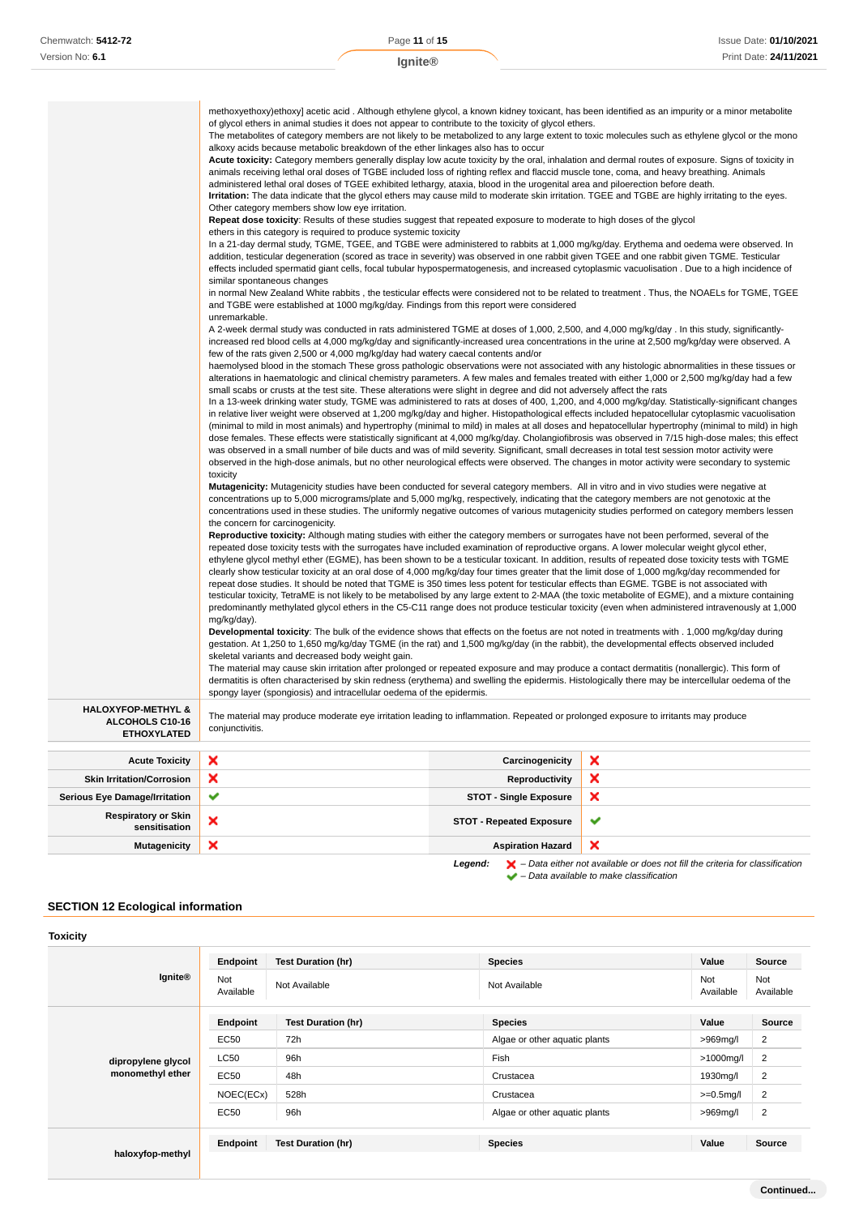|                                             | methoxyethoxy)ethoxy] acetic acid. Although ethylene glycol, a known kidney toxicant, has been identified as an impurity or a minor metabolite<br>of glycol ethers in animal studies it does not appear to contribute to the toxicity of glycol ethers.<br>The metabolites of category members are not likely to be metabolized to any large extent to toxic molecules such as ethylene glycol or the mono<br>alkoxy acids because metabolic breakdown of the ether linkages also has to occur<br>Acute toxicity: Category members generally display low acute toxicity by the oral, inhalation and dermal routes of exposure. Signs of toxicity in<br>animals receiving lethal oral doses of TGBE included loss of righting reflex and flaccid muscle tone, coma, and heavy breathing. Animals<br>administered lethal oral doses of TGEE exhibited lethargy, ataxia, blood in the urogenital area and piloerection before death.<br>Irritation: The data indicate that the glycol ethers may cause mild to moderate skin irritation. TGEE and TGBE are highly irritating to the eyes.<br>Other category members show low eye irritation.<br>Repeat dose toxicity: Results of these studies suggest that repeated exposure to moderate to high doses of the glycol<br>ethers in this category is required to produce systemic toxicity<br>In a 21-day dermal study, TGME, TGEE, and TGBE were administered to rabbits at 1,000 mg/kg/day. Erythema and oedema were observed. In<br>addition, testicular degeneration (scored as trace in severity) was observed in one rabbit given TGEE and one rabbit given TGME. Testicular<br>effects included spermatid giant cells, focal tubular hypospermatogenesis, and increased cytoplasmic vacuolisation. Due to a high incidence of<br>similar spontaneous changes<br>in normal New Zealand White rabbits, the testicular effects were considered not to be related to treatment. Thus, the NOAELs for TGME, TGEE<br>and TGBE were established at 1000 mg/kg/day. Findings from this report were considered<br>unremarkable.<br>A 2-week dermal study was conducted in rats administered TGME at doses of 1,000, 2,500, and 4,000 mg/kg/day . In this study, significantly-<br>increased red blood cells at 4,000 mg/kg/day and significantly-increased urea concentrations in the urine at 2,500 mg/kg/day were observed. A<br>few of the rats given 2,500 or 4,000 mg/kg/day had watery caecal contents and/or<br>haemolysed blood in the stomach These gross pathologic observations were not associated with any histologic abnormalities in these tissues or<br>alterations in haematologic and clinical chemistry parameters. A few males and females treated with either 1,000 or 2,500 mg/kg/day had a few<br>small scabs or crusts at the test site. These alterations were slight in degree and did not adversely affect the rats<br>In a 13-week drinking water study, TGME was administered to rats at doses of 400, 1,200, and 4,000 mg/kg/day. Statistically-significant changes<br>in relative liver weight were observed at 1,200 mg/kg/day and higher. Histopathological effects included hepatocellular cytoplasmic vacuolisation<br>(minimal to mild in most animals) and hypertrophy (minimal to mild) in males at all doses and hepatocellular hypertrophy (minimal to mild) in high<br>dose females. These effects were statistically significant at 4,000 mg/kg/day. Cholangiofibrosis was observed in 7/15 high-dose males; this effect<br>was observed in a small number of bile ducts and was of mild severity. Significant, small decreases in total test session motor activity were<br>observed in the high-dose animals, but no other neurological effects were observed. The changes in motor activity were secondary to systemic<br>toxicity<br>Mutagenicity: Mutagenicity studies have been conducted for several category members. All in vitro and in vivo studies were negative at<br>concentrations up to 5,000 micrograms/plate and 5,000 mg/kg, respectively, indicating that the category members are not genotoxic at the<br>concentrations used in these studies. The uniformly negative outcomes of various mutagenicity studies performed on category members lessen<br>the concern for carcinogenicity.<br>Reproductive toxicity: Although mating studies with either the category members or surrogates have not been performed, several of the<br>repeated dose toxicity tests with the surrogates have included examination of reproductive organs. A lower molecular weight glycol ether,<br>ethylene glycol methyl ether (EGME), has been shown to be a testicular toxicant. In addition, results of repeated dose toxicity tests with TGME<br>clearly show testicular toxicity at an oral dose of 4,000 mg/kg/day four times greater that the limit dose of 1,000 mg/kg/day recommended for<br>repeat dose studies. It should be noted that TGME is 350 times less potent for testicular effects than EGME. TGBE is not associated with<br>testicular toxicity, TetraME is not likely to be metabolised by any large extent to 2-MAA (the toxic metabolite of EGME), and a mixture containing<br>predominantly methylated glycol ethers in the C5-C11 range does not produce testicular toxicity (even when administered intravenously at 1,000<br>mg/kg/day).<br>Developmental toxicity: The bulk of the evidence shows that effects on the foetus are not noted in treatments with . 1,000 mg/kg/day during<br>gestation. At 1,250 to 1,650 mg/kg/day TGME (in the rat) and 1,500 mg/kg/day (in the rabbit), the developmental effects observed included<br>skeletal variants and decreased body weight gain.<br>The material may cause skin irritation after prolonged or repeated exposure and may produce a contact dermatitis (nonallergic). This form of<br>dermatitis is often characterised by skin redness (erythema) and swelling the epidermis. Histologically there may be intercellular oedema of the |                                 |   |
|---------------------------------------------|---------------------------------------------------------------------------------------------------------------------------------------------------------------------------------------------------------------------------------------------------------------------------------------------------------------------------------------------------------------------------------------------------------------------------------------------------------------------------------------------------------------------------------------------------------------------------------------------------------------------------------------------------------------------------------------------------------------------------------------------------------------------------------------------------------------------------------------------------------------------------------------------------------------------------------------------------------------------------------------------------------------------------------------------------------------------------------------------------------------------------------------------------------------------------------------------------------------------------------------------------------------------------------------------------------------------------------------------------------------------------------------------------------------------------------------------------------------------------------------------------------------------------------------------------------------------------------------------------------------------------------------------------------------------------------------------------------------------------------------------------------------------------------------------------------------------------------------------------------------------------------------------------------------------------------------------------------------------------------------------------------------------------------------------------------------------------------------------------------------------------------------------------------------------------------------------------------------------------------------------------------------------------------------------------------------------------------------------------------------------------------------------------------------------------------------------------------------------------------------------------------------------------------------------------------------------------------------------------------------------------------------------------------------------------------------------------------------------------------------------------------------------------------------------------------------------------------------------------------------------------------------------------------------------------------------------------------------------------------------------------------------------------------------------------------------------------------------------------------------------------------------------------------------------------------------------------------------------------------------------------------------------------------------------------------------------------------------------------------------------------------------------------------------------------------------------------------------------------------------------------------------------------------------------------------------------------------------------------------------------------------------------------------------------------------------------------------------------------------------------------------------------------------------------------------------------------------------------------------------------------------------------------------------------------------------------------------------------------------------------------------------------------------------------------------------------------------------------------------------------------------------------------------------------------------------------------------------------------------------------------------------------------------------------------------------------------------------------------------------------------------------------------------------------------------------------------------------------------------------------------------------------------------------------------------------------------------------------------------------------------------------------------------------------------------------------------------------------------------------------------------------------------------------------------------------------------------------------------------------------------------------------------------------------------------------------------------------------------------------------------------------------------------------------------------------------------------------------------------------------------------------------------------------------------------------------------------------------------------------------------------------------------------------------------------------------------------------------------------------------------------------------------------------------------------------------------------------------------------------------------------------------------------------------------------------------------------------------------------------------------------------------------------------------------------------------------------------------------------------------------------------------------------------------------------------------------------------------------------------------------------------------------------------------------------------------------------------------------------------------------------------------|---------------------------------|---|
| <b>HALOXYFOP-METHYL &amp;</b>               | spongy layer (spongiosis) and intracellular oedema of the epidermis.                                                                                                                                                                                                                                                                                                                                                                                                                                                                                                                                                                                                                                                                                                                                                                                                                                                                                                                                                                                                                                                                                                                                                                                                                                                                                                                                                                                                                                                                                                                                                                                                                                                                                                                                                                                                                                                                                                                                                                                                                                                                                                                                                                                                                                                                                                                                                                                                                                                                                                                                                                                                                                                                                                                                                                                                                                                                                                                                                                                                                                                                                                                                                                                                                                                                                                                                                                                                                                                                                                                                                                                                                                                                                                                                                                                                                                                                                                                                                                                                                                                                                                                                                                                                                                                                                                                                                                                                                                                                                                                                                                                                                                                                                                                                                                                                                                                                                                                                                                                                                                                                                                                                                                                                                                                                                                                                                                                                                                                                                                                                                                                                                                                                                                                                                                                                                                                                                                                                                |                                 |   |
| ALCOHOLS C10-16<br><b>ETHOXYLATED</b>       | The material may produce moderate eye irritation leading to inflammation. Repeated or prolonged exposure to irritants may produce<br>conjunctivitis.                                                                                                                                                                                                                                                                                                                                                                                                                                                                                                                                                                                                                                                                                                                                                                                                                                                                                                                                                                                                                                                                                                                                                                                                                                                                                                                                                                                                                                                                                                                                                                                                                                                                                                                                                                                                                                                                                                                                                                                                                                                                                                                                                                                                                                                                                                                                                                                                                                                                                                                                                                                                                                                                                                                                                                                                                                                                                                                                                                                                                                                                                                                                                                                                                                                                                                                                                                                                                                                                                                                                                                                                                                                                                                                                                                                                                                                                                                                                                                                                                                                                                                                                                                                                                                                                                                                                                                                                                                                                                                                                                                                                                                                                                                                                                                                                                                                                                                                                                                                                                                                                                                                                                                                                                                                                                                                                                                                                                                                                                                                                                                                                                                                                                                                                                                                                                                                                |                                 |   |
| <b>Acute Toxicity</b>                       | ×                                                                                                                                                                                                                                                                                                                                                                                                                                                                                                                                                                                                                                                                                                                                                                                                                                                                                                                                                                                                                                                                                                                                                                                                                                                                                                                                                                                                                                                                                                                                                                                                                                                                                                                                                                                                                                                                                                                                                                                                                                                                                                                                                                                                                                                                                                                                                                                                                                                                                                                                                                                                                                                                                                                                                                                                                                                                                                                                                                                                                                                                                                                                                                                                                                                                                                                                                                                                                                                                                                                                                                                                                                                                                                                                                                                                                                                                                                                                                                                                                                                                                                                                                                                                                                                                                                                                                                                                                                                                                                                                                                                                                                                                                                                                                                                                                                                                                                                                                                                                                                                                                                                                                                                                                                                                                                                                                                                                                                                                                                                                                                                                                                                                                                                                                                                                                                                                                                                                                                                                                   | Carcinogenicity                 | x |
| <b>Skin Irritation/Corrosion</b>            | ×                                                                                                                                                                                                                                                                                                                                                                                                                                                                                                                                                                                                                                                                                                                                                                                                                                                                                                                                                                                                                                                                                                                                                                                                                                                                                                                                                                                                                                                                                                                                                                                                                                                                                                                                                                                                                                                                                                                                                                                                                                                                                                                                                                                                                                                                                                                                                                                                                                                                                                                                                                                                                                                                                                                                                                                                                                                                                                                                                                                                                                                                                                                                                                                                                                                                                                                                                                                                                                                                                                                                                                                                                                                                                                                                                                                                                                                                                                                                                                                                                                                                                                                                                                                                                                                                                                                                                                                                                                                                                                                                                                                                                                                                                                                                                                                                                                                                                                                                                                                                                                                                                                                                                                                                                                                                                                                                                                                                                                                                                                                                                                                                                                                                                                                                                                                                                                                                                                                                                                                                                   | <b>Reproductivity</b>           | × |
| <b>Serious Eye Damage/Irritation</b>        | ✔                                                                                                                                                                                                                                                                                                                                                                                                                                                                                                                                                                                                                                                                                                                                                                                                                                                                                                                                                                                                                                                                                                                                                                                                                                                                                                                                                                                                                                                                                                                                                                                                                                                                                                                                                                                                                                                                                                                                                                                                                                                                                                                                                                                                                                                                                                                                                                                                                                                                                                                                                                                                                                                                                                                                                                                                                                                                                                                                                                                                                                                                                                                                                                                                                                                                                                                                                                                                                                                                                                                                                                                                                                                                                                                                                                                                                                                                                                                                                                                                                                                                                                                                                                                                                                                                                                                                                                                                                                                                                                                                                                                                                                                                                                                                                                                                                                                                                                                                                                                                                                                                                                                                                                                                                                                                                                                                                                                                                                                                                                                                                                                                                                                                                                                                                                                                                                                                                                                                                                                                                   | <b>STOT - Single Exposure</b>   | × |
| <b>Respiratory or Skin</b><br>sensitisation | ×                                                                                                                                                                                                                                                                                                                                                                                                                                                                                                                                                                                                                                                                                                                                                                                                                                                                                                                                                                                                                                                                                                                                                                                                                                                                                                                                                                                                                                                                                                                                                                                                                                                                                                                                                                                                                                                                                                                                                                                                                                                                                                                                                                                                                                                                                                                                                                                                                                                                                                                                                                                                                                                                                                                                                                                                                                                                                                                                                                                                                                                                                                                                                                                                                                                                                                                                                                                                                                                                                                                                                                                                                                                                                                                                                                                                                                                                                                                                                                                                                                                                                                                                                                                                                                                                                                                                                                                                                                                                                                                                                                                                                                                                                                                                                                                                                                                                                                                                                                                                                                                                                                                                                                                                                                                                                                                                                                                                                                                                                                                                                                                                                                                                                                                                                                                                                                                                                                                                                                                                                   | <b>STOT - Repeated Exposure</b> | ✔ |

# **SECTION 12 Ecological information**

| <b>Toxicity</b>                        |                  |                           |                               |                  |                  |
|----------------------------------------|------------------|---------------------------|-------------------------------|------------------|------------------|
|                                        | Endpoint         | <b>Test Duration (hr)</b> | <b>Species</b>                | Value            | Source           |
| <b>Ignite®</b>                         | Not<br>Available | Not Available             | Not Available                 | Not<br>Available | Not<br>Available |
|                                        | Endpoint         | <b>Test Duration (hr)</b> | <b>Species</b>                | Value            | Source           |
| dipropylene glycol<br>monomethyl ether | <b>EC50</b>      | 72h                       | Algae or other aquatic plants | $>969$ mg/l      | 2                |
|                                        | <b>LC50</b>      | 96h                       | Fish                          | $>1000$ mg/l     | $\overline{2}$   |
|                                        | <b>EC50</b>      | 48h                       | Crustacea                     | 1930mg/l         | $\overline{2}$   |
|                                        | NOEC(ECx)        | 528h                      | Crustacea                     | $>=0.5$ mg/l     | $\overline{2}$   |
|                                        | EC50             | 96h                       | Algae or other aquatic plants | >969mg/l         | $\overline{2}$   |
|                                        | Endpoint         | <b>Test Duration (hr)</b> | <b>Species</b>                | Value            | Source           |
| haloxyfop-methyl                       |                  |                           |                               |                  |                  |

**Mutagenicity X Aspiration Hazard** 

**Legend:**  $\mathbf{X}$  – Data either not available or does not fill the criteria for classification

– Data available to make classification

 $\pmb{\times}$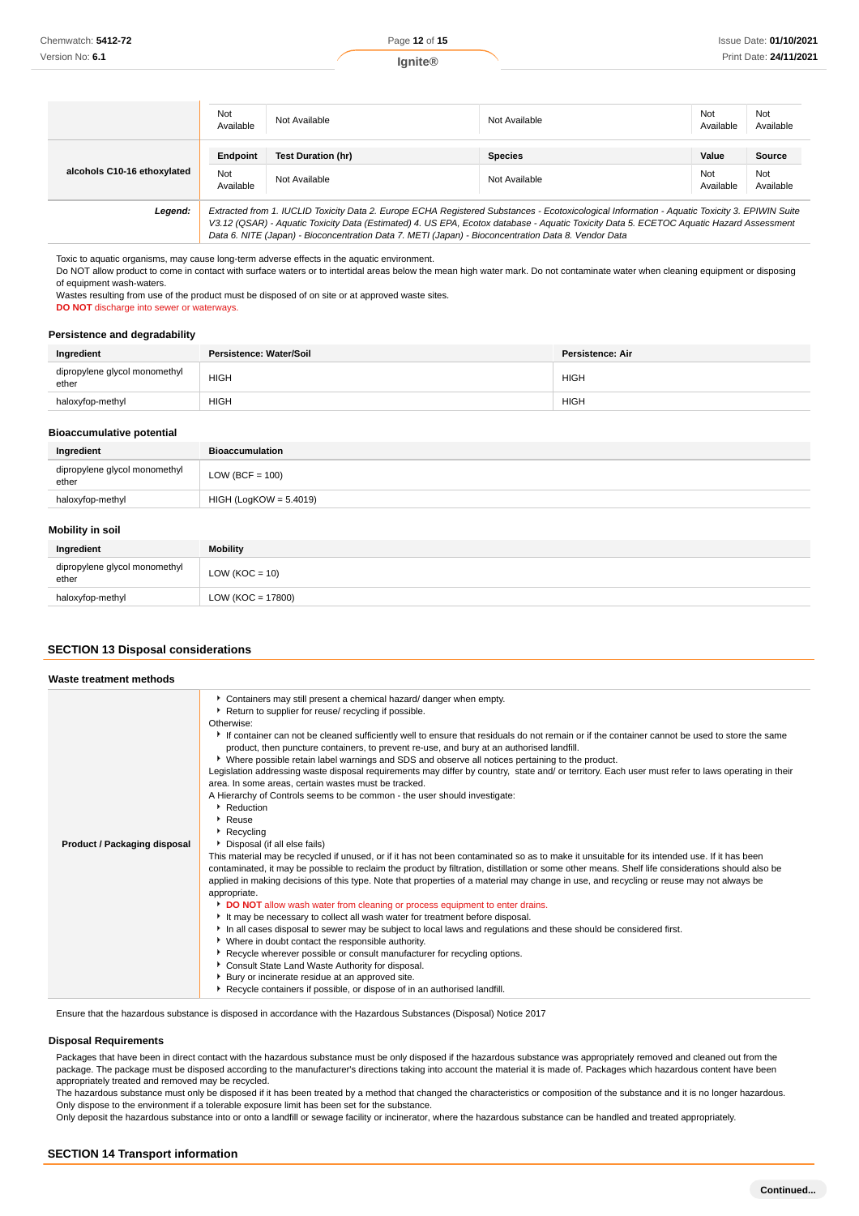|                             | Not<br>Available             | Not Available                                                                                                                                                                                                                                                                                                                                                                                   | Not Available                   | Not<br>Available          | Not<br>Available           |
|-----------------------------|------------------------------|-------------------------------------------------------------------------------------------------------------------------------------------------------------------------------------------------------------------------------------------------------------------------------------------------------------------------------------------------------------------------------------------------|---------------------------------|---------------------------|----------------------------|
| alcohols C10-16 ethoxylated | Endpoint<br>Not<br>Available | <b>Test Duration (hr)</b><br>Not Available                                                                                                                                                                                                                                                                                                                                                      | <b>Species</b><br>Not Available | Value<br>Not<br>Available | Source<br>Not<br>Available |
| Legend:                     |                              | Extracted from 1. IUCLID Toxicity Data 2. Europe ECHA Registered Substances - Ecotoxicological Information - Aquatic Toxicity 3. EPIWIN Suite<br>V3.12 (QSAR) - Aquatic Toxicity Data (Estimated) 4. US EPA, Ecotox database - Aquatic Toxicity Data 5. ECETOC Aquatic Hazard Assessment<br>Data 6. NITE (Japan) - Bioconcentration Data 7. METI (Japan) - Bioconcentration Data 8. Vendor Data |                                 |                           |                            |

Toxic to aquatic organisms, may cause long-term adverse effects in the aquatic environment.

Do NOT allow product to come in contact with surface waters or to intertidal areas below the mean high water mark. Do not contaminate water when cleaning equipment or disposing of equipment wash-waters.

Wastes resulting from use of the product must be disposed of on site or at approved waste sites.

**DO NOT** discharge into sewer or waterways.

#### **Persistence and degradability**

| Ingredient                             | Persistence: Water/Soil | Persistence: Air |
|----------------------------------------|-------------------------|------------------|
| dipropylene glycol monomethyl<br>ether | <b>HIGH</b>             | <b>HIGH</b>      |
| haloxyfop-methyl                       | <b>HIGH</b>             | <b>HIGH</b>      |

# **Bioaccumulative potential**

| Ingredient                             | <b>Bioaccumulation</b>   |
|----------------------------------------|--------------------------|
| dipropylene glycol monomethyl<br>ether | LOW (BCF = $100$ )       |
| haloxyfop-methyl                       | $HIGH (LogKOW = 5.4019)$ |
|                                        |                          |

# **Mobility in soil**

| <b>INIODIIILY III SUIL</b>             |                    |
|----------------------------------------|--------------------|
| Ingredient                             | <b>Mobility</b>    |
| dipropylene glycol monomethyl<br>ether | LOW ( $KOC = 10$ ) |
| haloxyfop-methyl                       | LOW (KOC = 17800)  |

### **SECTION 13 Disposal considerations**

| Waste treatment methods      |                                                                                                                                                                                                                                                                                                                                                                                                                                                                                                                                                                                                                                                                                                                                                                                                                                                                                                                                                                                                                                                                                                                                                                                                                                                                                                                                                                                                                                                                                                                                                                                                                                                                                                                                                                                                                                                                                                                                                                        |
|------------------------------|------------------------------------------------------------------------------------------------------------------------------------------------------------------------------------------------------------------------------------------------------------------------------------------------------------------------------------------------------------------------------------------------------------------------------------------------------------------------------------------------------------------------------------------------------------------------------------------------------------------------------------------------------------------------------------------------------------------------------------------------------------------------------------------------------------------------------------------------------------------------------------------------------------------------------------------------------------------------------------------------------------------------------------------------------------------------------------------------------------------------------------------------------------------------------------------------------------------------------------------------------------------------------------------------------------------------------------------------------------------------------------------------------------------------------------------------------------------------------------------------------------------------------------------------------------------------------------------------------------------------------------------------------------------------------------------------------------------------------------------------------------------------------------------------------------------------------------------------------------------------------------------------------------------------------------------------------------------------|
| Product / Packaging disposal | Containers may still present a chemical hazard/ danger when empty.<br>▶ Return to supplier for reuse/ recycling if possible.<br>Otherwise:<br>If container can not be cleaned sufficiently well to ensure that residuals do not remain or if the container cannot be used to store the same<br>product, then puncture containers, to prevent re-use, and bury at an authorised landfill.<br>▶ Where possible retain label warnings and SDS and observe all notices pertaining to the product.<br>Legislation addressing waste disposal requirements may differ by country, state and/ or territory. Each user must refer to laws operating in their<br>area. In some areas, certain wastes must be tracked.<br>A Hierarchy of Controls seems to be common - the user should investigate:<br>Reduction<br>$\cdot$ Reuse<br>$\blacktriangleright$ Recycling<br>Disposal (if all else fails)<br>This material may be recycled if unused, or if it has not been contaminated so as to make it unsuitable for its intended use. If it has been<br>contaminated, it may be possible to reclaim the product by filtration, distillation or some other means. Shelf life considerations should also be<br>applied in making decisions of this type. Note that properties of a material may change in use, and recycling or reuse may not always be<br>appropriate.<br>DO NOT allow wash water from cleaning or process equipment to enter drains.<br>It may be necessary to collect all wash water for treatment before disposal.<br>In all cases disposal to sewer may be subject to local laws and regulations and these should be considered first.<br>▶ Where in doubt contact the responsible authority.<br>Recycle wherever possible or consult manufacturer for recycling options.<br>Consult State Land Waste Authority for disposal.<br>▶ Bury or incinerate residue at an approved site.<br>Recycle containers if possible, or dispose of in an authorised landfill. |

Ensure that the hazardous substance is disposed in accordance with the Hazardous Substances (Disposal) Notice 2017

#### **Disposal Requirements**

Packages that have been in direct contact with the hazardous substance must be only disposed if the hazardous substance was appropriately removed and cleaned out from the package. The package must be disposed according to the manufacturer's directions taking into account the material it is made of. Packages which hazardous content have been appropriately treated and removed may be recycled.

The hazardous substance must only be disposed if it has been treated by a method that changed the characteristics or composition of the substance and it is no longer hazardous. Only dispose to the environment if a tolerable exposure limit has been set for the substance.

Only deposit the hazardous substance into or onto a landfill or sewage facility or incinerator, where the hazardous substance can be handled and treated appropriately.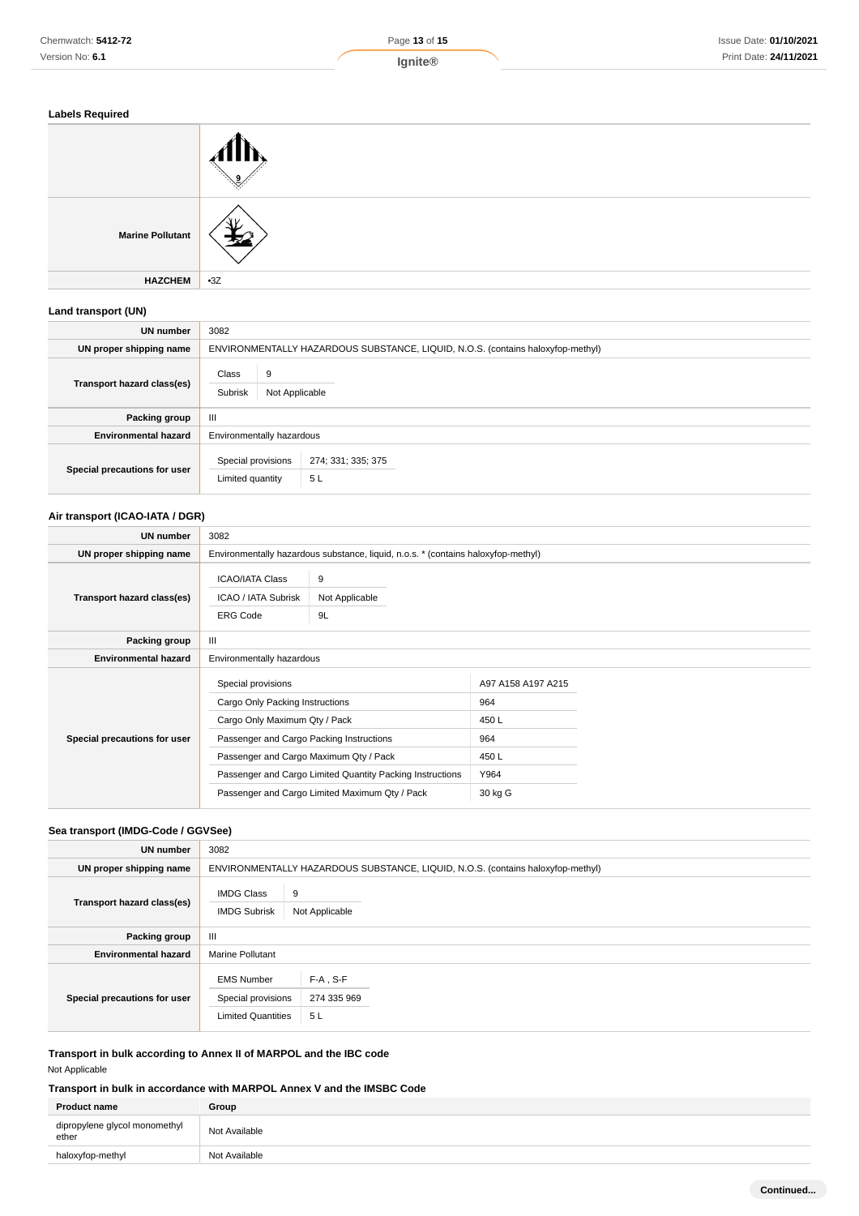

| <b>Labels Required</b> |
|------------------------|
|------------------------|

| <b>Labels Required</b>  |       |
|-------------------------|-------|
|                         |       |
| <b>Marine Pollutant</b> |       |
| <b>HAZCHEM</b>          | $-3Z$ |

### **Land transport (UN)**

| <b>UN number</b>             | 3082                                                                            |  |
|------------------------------|---------------------------------------------------------------------------------|--|
| UN proper shipping name      | ENVIRONMENTALLY HAZARDOUS SUBSTANCE, LIQUID, N.O.S. (contains haloxyfop-methyl) |  |
| Transport hazard class(es)   | Class<br>9<br>Subrisk<br>Not Applicable                                         |  |
| Packing group                | Ш                                                                               |  |
| <b>Environmental hazard</b>  | Environmentally hazardous                                                       |  |
| Special precautions for user | Special provisions<br>274; 331; 335; 375<br>5L<br>Limited quantity              |  |

# **Air transport (ICAO-IATA / DGR)**

| UN number                    | 3082                                                                                                                                                                         |                                                                                                             |                                                                     |  |
|------------------------------|------------------------------------------------------------------------------------------------------------------------------------------------------------------------------|-------------------------------------------------------------------------------------------------------------|---------------------------------------------------------------------|--|
| UN proper shipping name      |                                                                                                                                                                              | Environmentally hazardous substance, liquid, n.o.s. * (contains haloxyfop-methyl)                           |                                                                     |  |
| Transport hazard class(es)   | <b>ICAO/IATA Class</b><br><b>ICAO / IATA Subrisk</b><br><b>ERG Code</b>                                                                                                      | 9<br>Not Applicable<br>9L                                                                                   |                                                                     |  |
| Packing group                | $\mathbf{III}$                                                                                                                                                               |                                                                                                             |                                                                     |  |
| <b>Environmental hazard</b>  | Environmentally hazardous                                                                                                                                                    |                                                                                                             |                                                                     |  |
| Special precautions for user | Special provisions<br>Cargo Only Packing Instructions<br>Cargo Only Maximum Qty / Pack<br>Passenger and Cargo Packing Instructions<br>Passenger and Cargo Maximum Qty / Pack | Passenger and Cargo Limited Quantity Packing Instructions<br>Passenger and Cargo Limited Maximum Qty / Pack | A97 A158 A197 A215<br>964<br>450L<br>964<br>450L<br>Y964<br>30 kg G |  |

# **Sea transport (IMDG-Code / GGVSee)**

| <b>UN number</b>             | 3082                                                                 |                                                                                 |  |
|------------------------------|----------------------------------------------------------------------|---------------------------------------------------------------------------------|--|
| UN proper shipping name      |                                                                      | ENVIRONMENTALLY HAZARDOUS SUBSTANCE, LIQUID, N.O.S. (contains haloxyfop-methyl) |  |
| Transport hazard class(es)   | <b>IMDG Class</b><br><b>IMDG Subrisk</b>                             | 9<br>Not Applicable                                                             |  |
| Packing group                | III                                                                  |                                                                                 |  |
| <b>Environmental hazard</b>  | <b>Marine Pollutant</b>                                              |                                                                                 |  |
| Special precautions for user | <b>EMS Number</b><br>Special provisions<br><b>Limited Quantities</b> | $F-A$ , S-F<br>274 335 969<br>5L                                                |  |

# **Transport in bulk according to Annex II of MARPOL and the IBC code** Not Applicable

# **Transport in bulk in accordance with MARPOL Annex V and the IMSBC Code**

| <b>Product name</b>                    | Group         |
|----------------------------------------|---------------|
| dipropylene glycol monomethyl<br>ether | Not Available |
| haloxyfop-methyl                       | Not Available |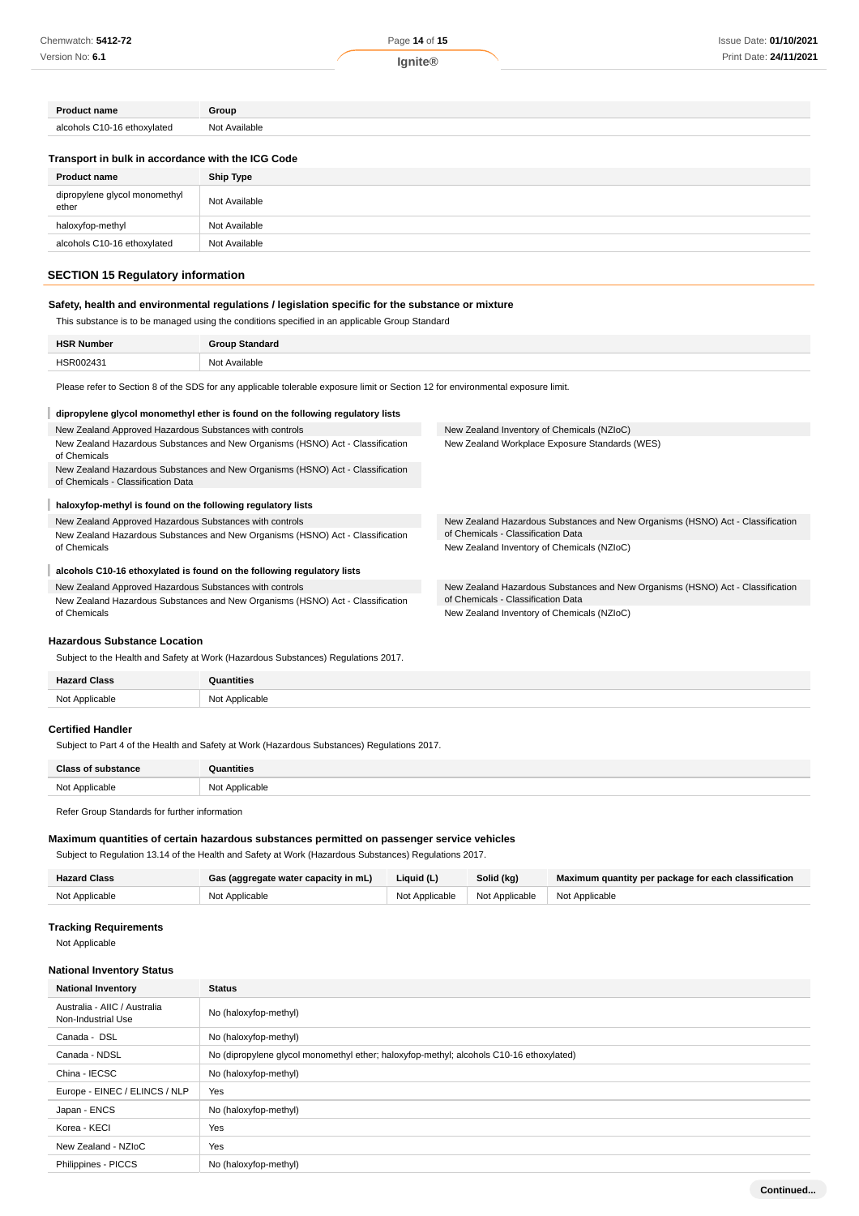| <b>Product name</b>         | Group         |
|-----------------------------|---------------|
| alcohols C10-16 ethoxylated | Not Available |

#### **Transport in bulk in accordance with the ICG Code**

| <b>Product name</b>                    | <b>Ship Type</b> |
|----------------------------------------|------------------|
| dipropylene glycol monomethyl<br>ether | Not Available    |
| haloxyfop-methyl                       | Not Available    |
| alcohols C10-16 ethoxylated            | Not Available    |

# **SECTION 15 Regulatory information**

# **Safety, health and environmental regulations / legislation specific for the substance or mixture**

This substance is to be managed using the conditions specified in an applicable Group Standard

| பவ<br>ma<br>the contract of the contract of the con- |                 |
|------------------------------------------------------|-----------------|
|                                                      | N <sub>IO</sub> |
| $\sim$                                               | ≅‼able          |
|                                                      | .               |

Please refer to Section 8 of the SDS for any applicable tolerable exposure limit or Section 12 for environmental exposure limit.

#### **dipropylene glycol monomethyl ether is found on the following regulatory lists** New Zealand Approved Hazardous Substances with controls New Zealand Hazardous Substances and New Organisms (HSNO) Act - Classification of Chemicals New Zealand Hazardous Substances and New Organisms (HSNO) Act - Classification of Chemicals - Classification Data New Zealand Inventory of Chemicals (NZIoC) New Zealand Workplace Exposure Standards (WES) **haloxyfop-methyl is found on the following regulatory lists** New Zealand Approved Hazardous Substances with controls New Zealand Hazardous Substances and New Organisms (HSNO) Act - Classification of Chemicals New Zealand Hazardous Substances and New Organisms (HSNO) Act - Classification of Chemicals - Classification Data New Zealand Inventory of Chemicals (NZIoC) **alcohols C10-16 ethoxylated is found on the following regulatory lists** New Zealand Approved Hazardous Substances with controls New Zealand Hazardous Substances and New Organisms (HSNO) Act - Classification of Chemicals New Zealand Hazardous Substances and New Organisms (HSNO) Act - Classification of Chemicals - Classification Data New Zealand Inventory of Chemicals (NZIoC)

#### **Hazardous Substance Location**

Subject to the Health and Safety at Work (Hazardous Substances) Regulations 2017.

| Homes          |                        |
|----------------|------------------------|
| Not Applicable | Not Applicable<br>IVUI |

#### **Certified Handler**

Subject to Part 4 of the Health and Safety at Work (Hazardous Substances) Regulations 2017.

| <b>Class of substance</b> | Quantities     |
|---------------------------|----------------|
| Not Applicable            | Not Applicable |
|                           |                |

Refer Group Standards for further information

### **Maximum quantities of certain hazardous substances permitted on passenger service vehicles**

Subject to Regulation 13.14 of the Health and Safety at Work (Hazardous Substances) Regulations 2017.

| <b>Hazard Class</b> | Gas (aggregate water capacity in mL) | Liquid (L) | Solid (kg)                                       | Maximum quantity per package for each classification |
|---------------------|--------------------------------------|------------|--------------------------------------------------|------------------------------------------------------|
| Not Applicable      | Not Applicable                       |            | Not Applicable   Not Applicable   Not Applicable |                                                      |

#### **Tracking Requirements**

Not Applicable

#### **National Inventory Status**

| <b>National Inventory</b>                          | <b>Status</b>                                                                           |  |
|----------------------------------------------------|-----------------------------------------------------------------------------------------|--|
| Australia - AIIC / Australia<br>Non-Industrial Use | No (haloxyfop-methyl)                                                                   |  |
| Canada - DSL                                       | No (haloxyfop-methyl)                                                                   |  |
| Canada - NDSL                                      | No (dipropylene glycol monomethyl ether; haloxyfop-methyl; alcohols C10-16 ethoxylated) |  |
| China - IECSC                                      | No (haloxyfop-methyl)                                                                   |  |
| Europe - EINEC / ELINCS / NLP                      | Yes                                                                                     |  |
| Japan - ENCS                                       | No (haloxyfop-methyl)                                                                   |  |
| Korea - KECI                                       | Yes                                                                                     |  |
| New Zealand - NZIoC                                | Yes                                                                                     |  |
| Philippines - PICCS                                | No (haloxyfop-methyl)                                                                   |  |